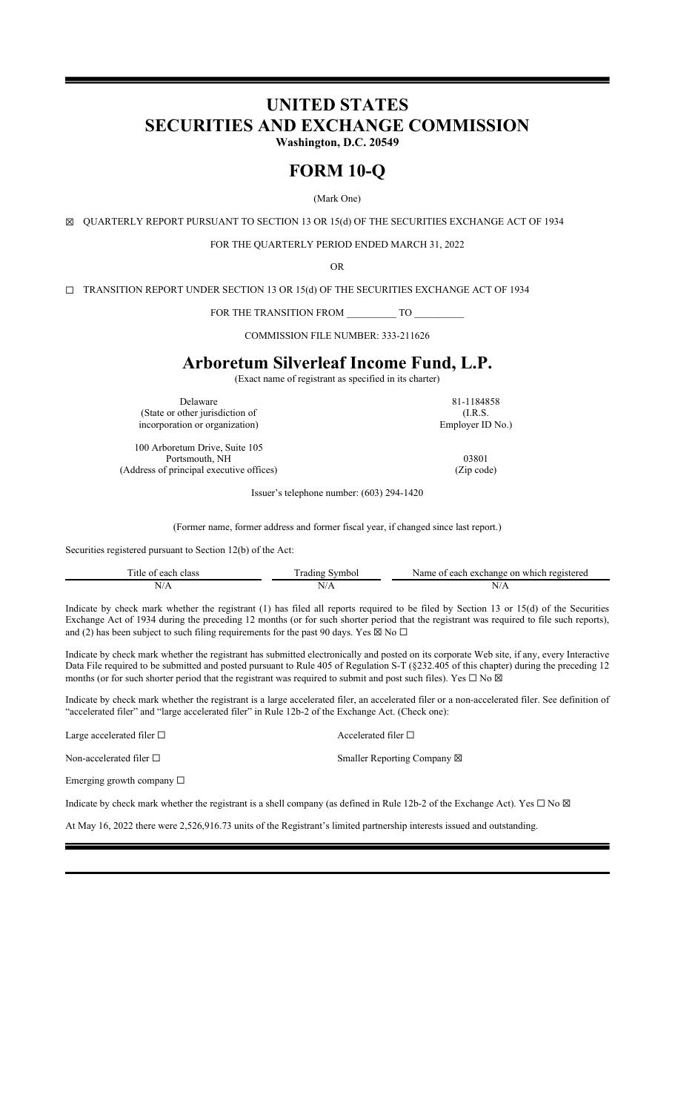# **UNITED STATES SECURITIES AND EXCHANGE COMMISSION Washington, D.C. 20549**

# **FORM 10-Q**

(Mark One)

☒ QUARTERLY REPORT PURSUANT TO SECTION 13 OR 15(d) OF THE SECURITIES EXCHANGE ACT OF 1934

FOR THE QUARTERLY PERIOD ENDED MARCH 31, 2022

OR

☐ TRANSITION REPORT UNDER SECTION 13 OR 15(d) OF THE SECURITIES EXCHANGE ACT OF 1934

FOR THE TRANSITION FROM TO

COMMISSION FILE NUMBER: 333-211626

# **Arboretum Silverleaf Income Fund, L.P.**

(Exact name of registrant as specified in its charter)

Delaware 81-1184858 (State or other jurisdiction of incorporation or organization)

100 Arboretum Drive, Suite 105 Portsmouth, NH 03801 (Address of principal executive offices) (Zip code)

Issuer's telephone number: (603) 294-1420

(Former name, former address and former fiscal year, if changed since last report.)

Securities registered pursuant to Section 12(b) of the Act:

| <b>The State</b><br>class<br>$\Delta$<br>01<br>-211 | ra<br>vmboi<br>11 C | Ωr<br>ηstereα<br>ianoe<br>which<br>each<br>$r \rho$ $\alpha$<br>٦а |
|-----------------------------------------------------|---------------------|--------------------------------------------------------------------|
| <b>Contract Contract Contract</b><br>$\mathbf{v}$   | N<br>. V/1.         | $N/r_{\rm h}$                                                      |

Indicate by check mark whether the registrant (1) has filed all reports required to be filed by Section 13 or 15(d) of the Securities Exchange Act of 1934 during the preceding 12 months (or for such shorter period that the registrant was required to file such reports), and (2) has been subject to such filing requirements for the past 90 days. Yes  $\boxtimes$  No  $\Box$ 

Indicate by check mark whether the registrant has submitted electronically and posted on its corporate Web site, if any, every Interactive Data File required to be submitted and posted pursuant to Rule 405 of Regulation S-T (§232.405 of this chapter) during the preceding 12 months (or for such shorter period that the registrant was required to submit and post such files). Yes  $\Box$  No  $\boxtimes$ 

Indicate by check mark whether the registrant is a large accelerated filer, an accelerated filer or a non-accelerated filer. See definition of "accelerated filer" and "large accelerated filer" in Rule 12b-2 of the Exchange Act. (Check one):

Large accelerated filer □ <br>
Accelerated filer □

Non-accelerated filer □ <br>
Smaller Reporting Company ⊠

Emerging growth company ☐

Indicate by check mark whether the registrant is a shell company (as defined in Rule 12b-2 of the Exchange Act). Yes  $\Box$  No  $\boxtimes$ 

At May 16, 2022 there were 2,526,916.73 units of the Registrant's limited partnership interests issued and outstanding.

(I.R.S. Employer ID No.)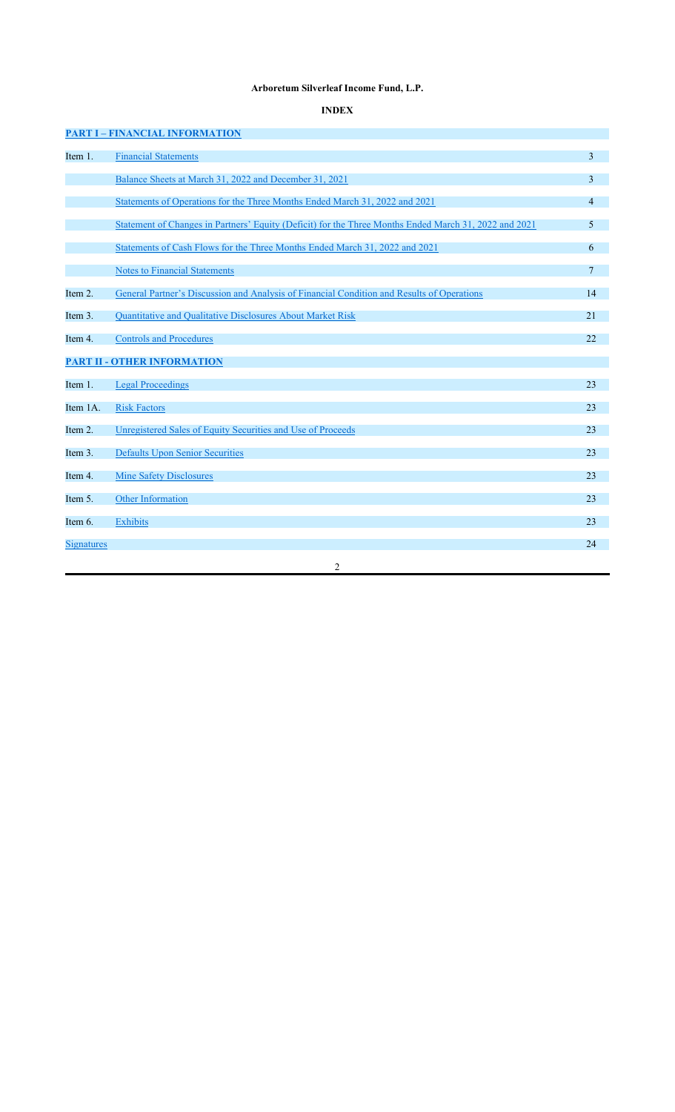## **Arboretum Silverleaf Income Fund, L.P.**

## **INDEX**

|                   | <b>PART I - FINANCIAL INFORMATION</b>                                                                 |                 |
|-------------------|-------------------------------------------------------------------------------------------------------|-----------------|
| Item 1.           | <b>Financial Statements</b>                                                                           | 3               |
|                   | Balance Sheets at March 31, 2022 and December 31, 2021                                                | 3               |
|                   | Statements of Operations for the Three Months Ended March 31, 2022 and 2021                           | 4               |
|                   | Statement of Changes in Partners' Equity (Deficit) for the Three Months Ended March 31, 2022 and 2021 | 5               |
|                   | Statements of Cash Flows for the Three Months Ended March 31, 2022 and 2021                           | 6               |
|                   | <b>Notes to Financial Statements</b>                                                                  | $7\phantom{.0}$ |
| Item 2.           | General Partner's Discussion and Analysis of Financial Condition and Results of Operations            | 14              |
| Item 3.           | Quantitative and Qualitative Disclosures About Market Risk                                            | 21              |
| Item 4.           | <b>Controls and Procedures</b>                                                                        | 22              |
|                   | <b>PART II - OTHER INFORMATION</b>                                                                    |                 |
| Item 1.           | <b>Legal Proceedings</b>                                                                              | 23              |
| Item 1A.          | <b>Risk Factors</b>                                                                                   | 23              |
| Item 2.           | Unregistered Sales of Equity Securities and Use of Proceeds                                           | 23              |
| Item 3.           | <b>Defaults Upon Senior Securities</b>                                                                | 23              |
| Item 4.           | <b>Mine Safety Disclosures</b>                                                                        | 23              |
| Item 5.           | Other Information                                                                                     | 23              |
| Item 6.           | <b>Exhibits</b>                                                                                       | 23              |
| <b>Signatures</b> |                                                                                                       | 24              |
|                   | 2                                                                                                     |                 |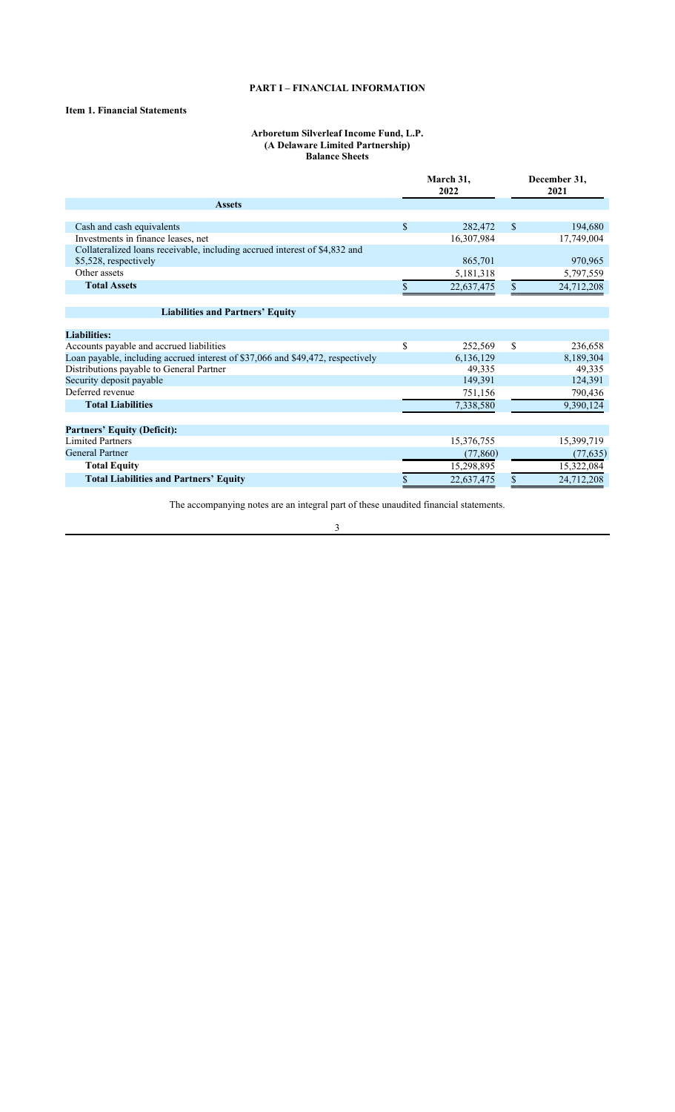## **PART I – FINANCIAL INFORMATION**

## **Item 1. Financial Statements**

#### **Arboretum Silverleaf Income Fund, L.P. (A Delaware Limited Partnership) Balance Sheets**

|                                                                                 | March 31,<br>2022 |               | December 31,<br>2021 |
|---------------------------------------------------------------------------------|-------------------|---------------|----------------------|
| <b>Assets</b>                                                                   |                   |               |                      |
|                                                                                 |                   |               |                      |
| Cash and cash equivalents                                                       | \$<br>282,472     | <sup>\$</sup> | 194,680              |
| Investments in finance leases, net                                              | 16,307,984        |               | 17,749,004           |
| Collateralized loans receivable, including accrued interest of \$4,832 and      |                   |               |                      |
| \$5,528, respectively                                                           | 865,701           |               | 970,965              |
| Other assets                                                                    | 5,181,318         |               | 5,797,559            |
| <b>Total Assets</b>                                                             | 22,637,475        | \$            | 24,712,208           |
|                                                                                 |                   |               |                      |
| <b>Liabilities and Partners' Equity</b>                                         |                   |               |                      |
|                                                                                 |                   |               |                      |
| <b>Liabilities:</b>                                                             |                   |               |                      |
| Accounts payable and accrued liabilities                                        | \$<br>252,569     | \$            | 236,658              |
| Loan payable, including accrued interest of \$37,066 and \$49,472, respectively | 6,136,129         |               | 8,189,304            |
| Distributions payable to General Partner                                        | 49,335            |               | 49,335               |
| Security deposit payable                                                        | 149,391           |               | 124,391              |
| Deferred revenue                                                                | 751,156           |               | 790,436              |
| <b>Total Liabilities</b>                                                        | 7,338,580         |               | 9,390,124            |
|                                                                                 |                   |               |                      |
| <b>Partners' Equity (Deficit):</b>                                              |                   |               |                      |
| <b>Limited Partners</b>                                                         | 15,376,755        |               | 15,399,719           |
| <b>General Partner</b>                                                          | (77, 860)         |               | (77, 635)            |
| <b>Total Equity</b>                                                             | 15,298,895        |               | 15,322,084           |
| <b>Total Liabilities and Partners' Equity</b>                                   | \$<br>22,637,475  | \$            | 24,712,208           |

The accompanying notes are an integral part of these unaudited financial statements.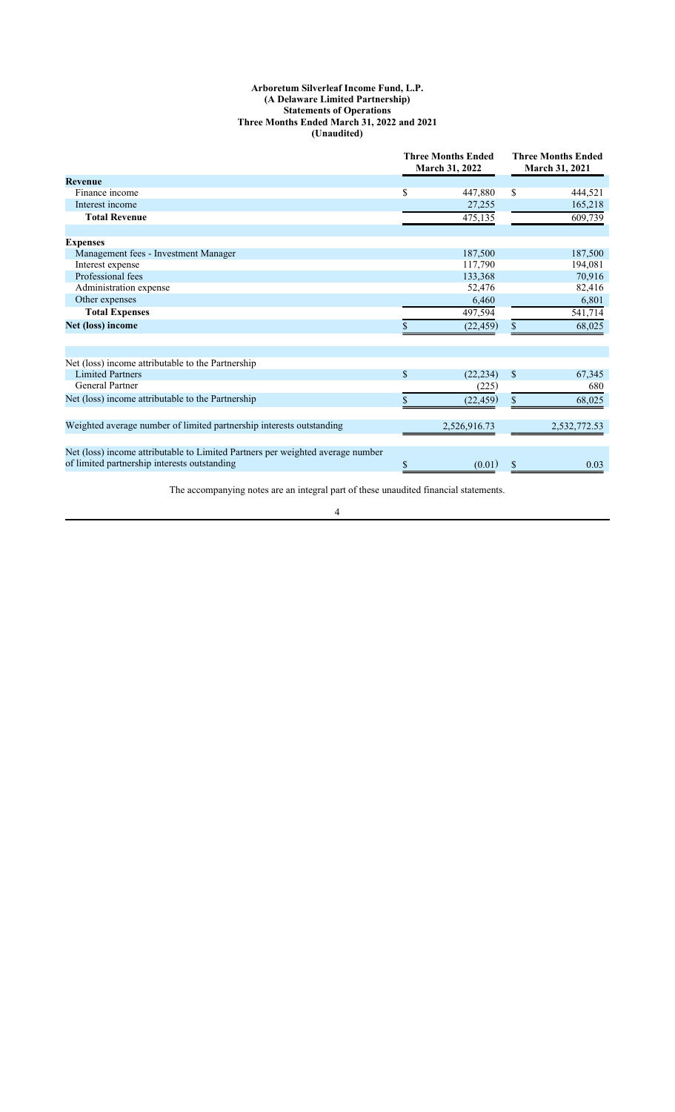#### **Arboretum Silverleaf Income Fund, L.P. (A Delaware Limited Partnership) Statements of Operations Three Months Ended March 31, 2022 and 2021 (Unaudited)**

|                                                                                | <b>Three Months Ended</b><br>March 31, 2022 |              | <b>Three Months Ended</b><br><b>March 31, 2021</b> |              |
|--------------------------------------------------------------------------------|---------------------------------------------|--------------|----------------------------------------------------|--------------|
| Revenue                                                                        |                                             |              |                                                    |              |
| Finance income                                                                 | \$                                          | 447,880      | \$                                                 | 444,521      |
| Interest income                                                                |                                             | 27,255       |                                                    | 165,218      |
| <b>Total Revenue</b>                                                           |                                             | 475,135      |                                                    | 609,739      |
|                                                                                |                                             |              |                                                    |              |
| <b>Expenses</b>                                                                |                                             |              |                                                    |              |
| Management fees - Investment Manager                                           |                                             | 187,500      |                                                    | 187,500      |
| Interest expense                                                               |                                             | 117,790      |                                                    | 194,081      |
| Professional fees                                                              |                                             | 133,368      |                                                    | 70,916       |
| Administration expense                                                         |                                             | 52,476       |                                                    | 82,416       |
| Other expenses                                                                 |                                             | 6,460        |                                                    | 6,801        |
| <b>Total Expenses</b>                                                          |                                             | 497,594      |                                                    | 541,714      |
| Net (loss) income                                                              |                                             | (22, 459)    | \$                                                 | 68,025       |
|                                                                                |                                             |              |                                                    |              |
| Net (loss) income attributable to the Partnership                              |                                             |              |                                                    |              |
| <b>Limited Partners</b>                                                        | $\mathbf{\$}$                               | (22, 234)    | $\mathcal{S}$                                      | 67,345       |
| <b>General Partner</b>                                                         |                                             | (225)        |                                                    | 680          |
| Net (loss) income attributable to the Partnership                              |                                             | (22, 459)    | \$                                                 | 68,025       |
| Weighted average number of limited partnership interests outstanding           |                                             |              |                                                    |              |
|                                                                                |                                             | 2,526,916.73 |                                                    | 2,532,772.53 |
| Net (loss) income attributable to Limited Partners per weighted average number |                                             |              |                                                    |              |
| of limited partnership interests outstanding                                   | \$                                          | (0.01)       |                                                    | 0.03         |

The accompanying notes are an integral part of these unaudited financial statements.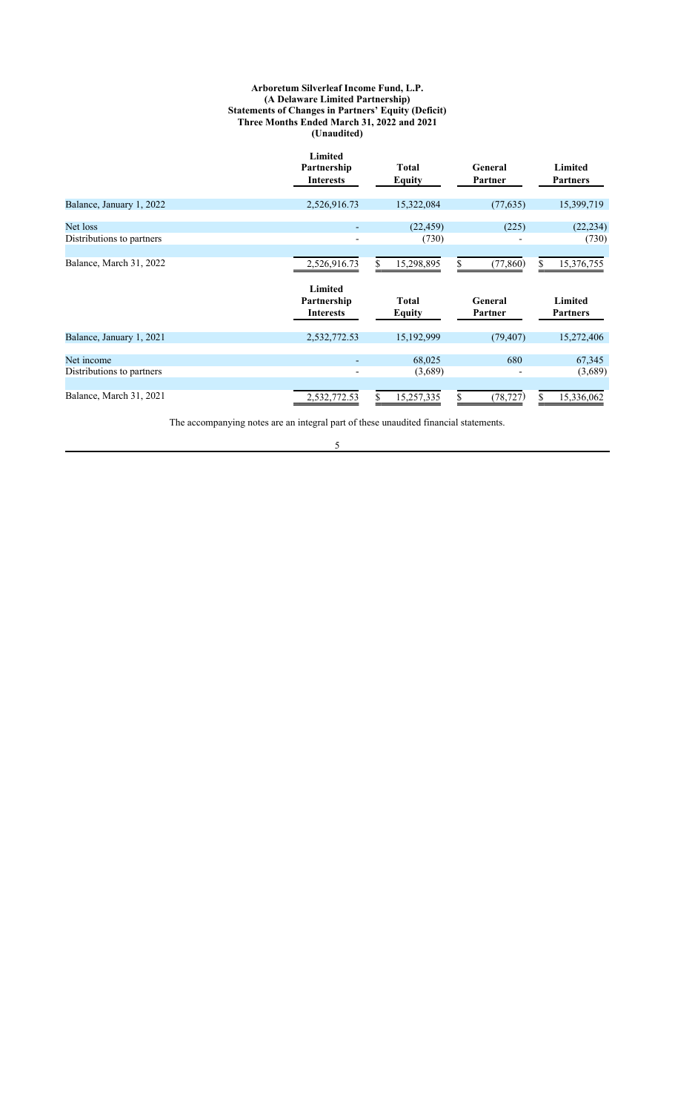#### **Arboretum Silverleaf Income Fund, L.P. (A Delaware Limited Partnership) Statements of Changes in Partners' Equity (Deficit) Three Months Ended March 31, 2022 and 2021 (Unaudited)**

|                                         | <b>Limited</b><br>Partnership<br><b>Interests</b> | <b>Total</b><br><b>Equity</b> | General<br>Partner | Limited<br><b>Partners</b> |
|-----------------------------------------|---------------------------------------------------|-------------------------------|--------------------|----------------------------|
| Balance, January 1, 2022                | 2,526,916.73                                      | 15,322,084                    | (77, 635)          | 15,399,719                 |
| Net loss<br>Distributions to partners   |                                                   | (22, 459)<br>(730)            | (225)              | (22, 234)<br>(730)         |
| Balance, March 31, 2022                 | 2,526,916.73                                      | 15,298,895                    | (77, 860)<br>S     | 15,376,755<br>S.           |
|                                         | Limited<br>Partnership<br><b>Interests</b>        | <b>Total</b><br><b>Equity</b> | General<br>Partner | Limited<br><b>Partners</b> |
| Balance, January 1, 2021                | 2,532,772.53                                      | 15,192,999                    | (79, 407)          | 15,272,406                 |
| Net income<br>Distributions to partners | $\qquad \qquad \blacksquare$                      | 68,025<br>(3,689)             | 680                | 67,345<br>(3,689)          |
| Balance, March 31, 2021                 | 2,532,772.53                                      | 15,257,335                    | (78, 727)          | 15,336,062                 |

The accompanying notes are an integral part of these unaudited financial statements.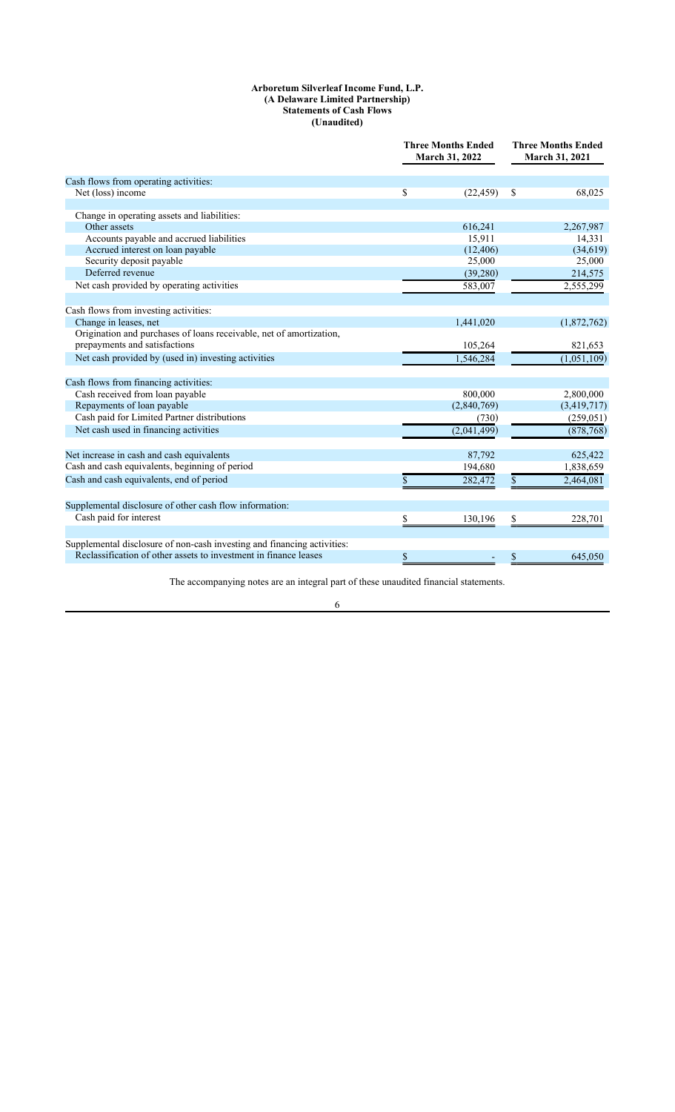#### **Arboretum Silverleaf Income Fund, L.P. (A Delaware Limited Partnership) Statements of Cash Flows (Unaudited)**

|                                                                         | <b>Three Months Ended</b><br>March 31, 2022 | <b>Three Months Ended</b><br>March 31, 2021 |  |
|-------------------------------------------------------------------------|---------------------------------------------|---------------------------------------------|--|
| Cash flows from operating activities:                                   |                                             |                                             |  |
| Net (loss) income                                                       | \$<br>(22, 459)                             | \$<br>68,025                                |  |
|                                                                         |                                             |                                             |  |
| Change in operating assets and liabilities:                             |                                             |                                             |  |
| Other assets                                                            | 616,241                                     | 2,267,987                                   |  |
| Accounts payable and accrued liabilities                                | 15,911                                      | 14,331                                      |  |
| Accrued interest on loan payable                                        | (12, 406)                                   | (34, 619)                                   |  |
| Security deposit payable                                                | 25,000                                      | 25,000                                      |  |
| Deferred revenue                                                        | (39,280)                                    | 214,575                                     |  |
| Net cash provided by operating activities                               | 583,007                                     | 2,555,299                                   |  |
|                                                                         |                                             |                                             |  |
| Cash flows from investing activities:                                   |                                             |                                             |  |
| Change in leases, net                                                   | 1,441,020                                   | (1,872,762)                                 |  |
| Origination and purchases of loans receivable, net of amortization,     |                                             |                                             |  |
| prepayments and satisfactions                                           | 105,264                                     | 821,653                                     |  |
| Net cash provided by (used in) investing activities                     | 1.546.284                                   | (1,051,109)                                 |  |
| Cash flows from financing activities:                                   |                                             |                                             |  |
| Cash received from loan payable                                         | 800,000                                     | 2,800,000                                   |  |
| Repayments of loan payable                                              | (2,840,769)                                 | (3,419,717)                                 |  |
| Cash paid for Limited Partner distributions                             | (730)                                       | (259, 051)                                  |  |
| Net cash used in financing activities                                   | (2,041,499)                                 | (878, 768)                                  |  |
|                                                                         |                                             |                                             |  |
| Net increase in cash and cash equivalents                               | 87,792                                      | 625,422                                     |  |
| Cash and cash equivalents, beginning of period                          | 194,680                                     | 1,838,659                                   |  |
| Cash and cash equivalents, end of period                                | \$<br>282,472                               | \$<br>2,464,081                             |  |
| Supplemental disclosure of other cash flow information:                 |                                             |                                             |  |
| Cash paid for interest                                                  | \$<br>130,196                               | \$<br>228,701                               |  |
| Supplemental disclosure of non-cash investing and financing activities: |                                             |                                             |  |
| Reclassification of other assets to investment in finance leases        |                                             | 645.050                                     |  |
|                                                                         | \$                                          | \$                                          |  |

The accompanying notes are an integral part of these unaudited financial statements.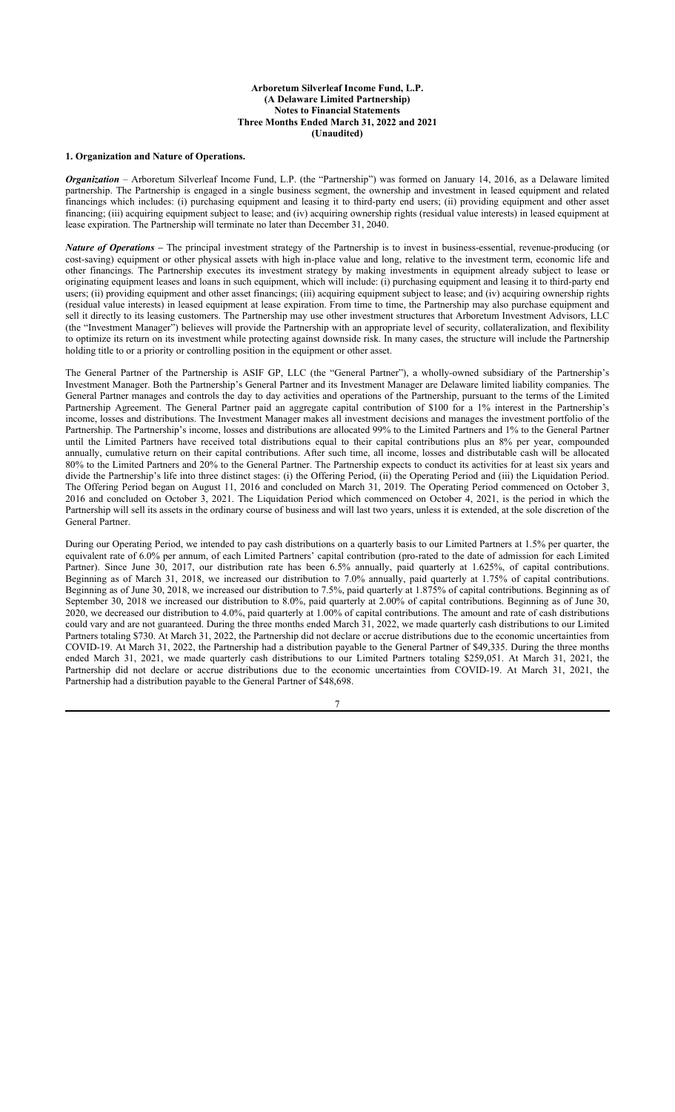#### **Arboretum Silverleaf Income Fund, L.P. (A Delaware Limited Partnership) Notes to Financial Statements Three Months Ended March 31, 2022 and 2021 (Unaudited)**

### **1. Organization and Nature of Operations.**

*Organization* – Arboretum Silverleaf Income Fund, L.P. (the "Partnership") was formed on January 14, 2016, as a Delaware limited partnership. The Partnership is engaged in a single business segment, the ownership and investment in leased equipment and related financings which includes: (i) purchasing equipment and leasing it to third-party end users; (ii) providing equipment and other asset financing; (iii) acquiring equipment subject to lease; and (iv) acquiring ownership rights (residual value interests) in leased equipment at lease expiration. The Partnership will terminate no later than December 31, 2040.

*Nature of Operations –* The principal investment strategy of the Partnership is to invest in business-essential, revenue-producing (or cost-saving) equipment or other physical assets with high in-place value and long, relative to the investment term, economic life and other financings. The Partnership executes its investment strategy by making investments in equipment already subject to lease or originating equipment leases and loans in such equipment, which will include: (i) purchasing equipment and leasing it to third-party end users; (ii) providing equipment and other asset financings; (iii) acquiring equipment subject to lease; and (iv) acquiring ownership rights (residual value interests) in leased equipment at lease expiration. From time to time, the Partnership may also purchase equipment and sell it directly to its leasing customers. The Partnership may use other investment structures that Arboretum Investment Advisors, LLC (the "Investment Manager") believes will provide the Partnership with an appropriate level of security, collateralization, and flexibility to optimize its return on its investment while protecting against downside risk. In many cases, the structure will include the Partnership holding title to or a priority or controlling position in the equipment or other asset.

The General Partner of the Partnership is ASIF GP, LLC (the "General Partner"), a wholly-owned subsidiary of the Partnership's Investment Manager. Both the Partnership's General Partner and its Investment Manager are Delaware limited liability companies. The General Partner manages and controls the day to day activities and operations of the Partnership, pursuant to the terms of the Limited Partnership Agreement. The General Partner paid an aggregate capital contribution of \$100 for a 1% interest in the Partnership's income, losses and distributions. The Investment Manager makes all investment decisions and manages the investment portfolio of the Partnership. The Partnership's income, losses and distributions are allocated 99% to the Limited Partners and 1% to the General Partner until the Limited Partners have received total distributions equal to their capital contributions plus an 8% per year, compounded annually, cumulative return on their capital contributions. After such time, all income, losses and distributable cash will be allocated 80% to the Limited Partners and 20% to the General Partner. The Partnership expects to conduct its activities for at least six years and divide the Partnership's life into three distinct stages: (i) the Offering Period, (ii) the Operating Period and (iii) the Liquidation Period. The Offering Period began on August 11, 2016 and concluded on March 31, 2019. The Operating Period commenced on October 3, 2016 and concluded on October 3, 2021. The Liquidation Period which commenced on October 4, 2021, is the period in which the Partnership will sell its assets in the ordinary course of business and will last two years, unless it is extended, at the sole discretion of the General Partner.

During our Operating Period, we intended to pay cash distributions on a quarterly basis to our Limited Partners at 1.5% per quarter, the equivalent rate of 6.0% per annum, of each Limited Partners' capital contribution (pro-rated to the date of admission for each Limited Partner). Since June 30, 2017, our distribution rate has been 6.5% annually, paid quarterly at 1.625%, of capital contributions. Beginning as of March 31, 2018, we increased our distribution to 7.0% annually, paid quarterly at 1.75% of capital contributions. Beginning as of June 30, 2018, we increased our distribution to 7.5%, paid quarterly at 1.875% of capital contributions. Beginning as of September 30, 2018 we increased our distribution to 8.0%, paid quarterly at 2.00% of capital contributions. Beginning as of June 30, 2020, we decreased our distribution to 4.0%, paid quarterly at 1.00% of capital contributions. The amount and rate of cash distributions could vary and are not guaranteed. During the three months ended March 31, 2022, we made quarterly cash distributions to our Limited Partners totaling \$730. At March 31, 2022, the Partnership did not declare or accrue distributions due to the economic uncertainties from COVID-19. At March 31, 2022, the Partnership had a distribution payable to the General Partner of \$49,335. During the three months ended March 31, 2021, we made quarterly cash distributions to our Limited Partners totaling \$259,051. At March 31, 2021, the Partnership did not declare or accrue distributions due to the economic uncertainties from COVID-19. At March 31, 2021, the Partnership had a distribution payable to the General Partner of \$48,698.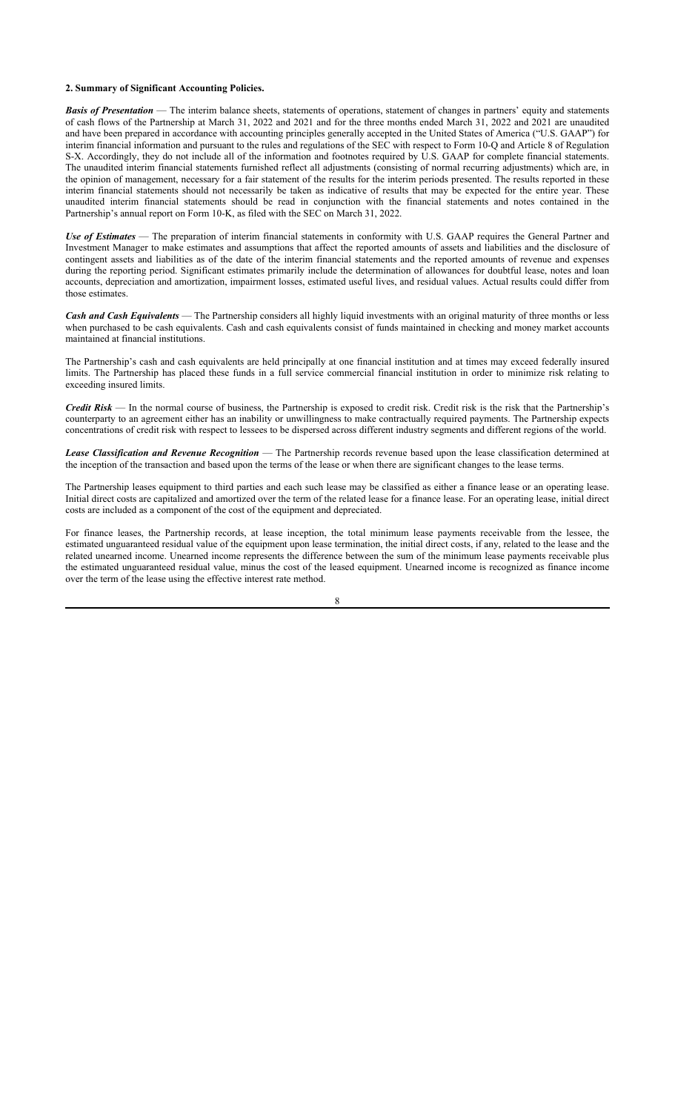#### **2. Summary of Significant Accounting Policies.**

*Basis of Presentation* — The interim balance sheets, statements of operations, statement of changes in partners' equity and statements of cash flows of the Partnership at March 31, 2022 and 2021 and for the three months ended March 31, 2022 and 2021 are unaudited and have been prepared in accordance with accounting principles generally accepted in the United States of America ("U.S. GAAP") for interim financial information and pursuant to the rules and regulations of the SEC with respect to Form 10-Q and Article 8 of Regulation S-X. Accordingly, they do not include all of the information and footnotes required by U.S. GAAP for complete financial statements. The unaudited interim financial statements furnished reflect all adjustments (consisting of normal recurring adjustments) which are, in the opinion of management, necessary for a fair statement of the results for the interim periods presented. The results reported in these interim financial statements should not necessarily be taken as indicative of results that may be expected for the entire year. These unaudited interim financial statements should be read in conjunction with the financial statements and notes contained in the Partnership's annual report on Form 10-K, as filed with the SEC on March 31, 2022.

*Use of Estimates* — The preparation of interim financial statements in conformity with U.S. GAAP requires the General Partner and Investment Manager to make estimates and assumptions that affect the reported amounts of assets and liabilities and the disclosure of contingent assets and liabilities as of the date of the interim financial statements and the reported amounts of revenue and expenses during the reporting period. Significant estimates primarily include the determination of allowances for doubtful lease, notes and loan accounts, depreciation and amortization, impairment losses, estimated useful lives, and residual values. Actual results could differ from those estimates.

*Cash and Cash Equivalents* — The Partnership considers all highly liquid investments with an original maturity of three months or less when purchased to be cash equivalents. Cash and cash equivalents consist of funds maintained in checking and money market accounts maintained at financial institutions.

The Partnership's cash and cash equivalents are held principally at one financial institution and at times may exceed federally insured limits. The Partnership has placed these funds in a full service commercial financial institution in order to minimize risk relating to exceeding insured limits.

*Credit Risk* — In the normal course of business, the Partnership is exposed to credit risk. Credit risk is the risk that the Partnership's counterparty to an agreement either has an inability or unwillingness to make contractually required payments. The Partnership expects concentrations of credit risk with respect to lessees to be dispersed across different industry segments and different regions of the world.

*Lease Classification and Revenue Recognition* — The Partnership records revenue based upon the lease classification determined at the inception of the transaction and based upon the terms of the lease or when there are significant changes to the lease terms.

The Partnership leases equipment to third parties and each such lease may be classified as either a finance lease or an operating lease. Initial direct costs are capitalized and amortized over the term of the related lease for a finance lease. For an operating lease, initial direct costs are included as a component of the cost of the equipment and depreciated.

For finance leases, the Partnership records, at lease inception, the total minimum lease payments receivable from the lessee, the estimated unguaranteed residual value of the equipment upon lease termination, the initial direct costs, if any, related to the lease and the related unearned income. Unearned income represents the difference between the sum of the minimum lease payments receivable plus the estimated unguaranteed residual value, minus the cost of the leased equipment. Unearned income is recognized as finance income over the term of the lease using the effective interest rate method.

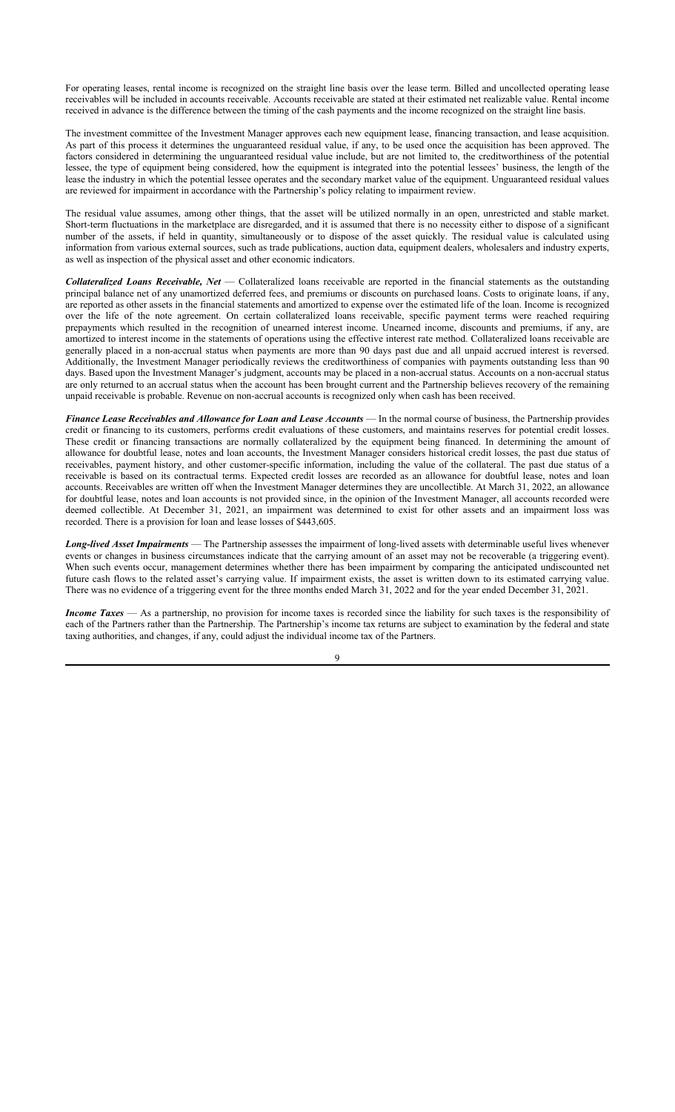For operating leases, rental income is recognized on the straight line basis over the lease term. Billed and uncollected operating lease receivables will be included in accounts receivable. Accounts receivable are stated at their estimated net realizable value. Rental income received in advance is the difference between the timing of the cash payments and the income recognized on the straight line basis.

The investment committee of the Investment Manager approves each new equipment lease, financing transaction, and lease acquisition. As part of this process it determines the unguaranteed residual value, if any, to be used once the acquisition has been approved. The factors considered in determining the unguaranteed residual value include, but are not limited to, the creditworthiness of the potential lessee, the type of equipment being considered, how the equipment is integrated into the potential lessees' business, the length of the lease the industry in which the potential lessee operates and the secondary market value of the equipment. Unguaranteed residual values are reviewed for impairment in accordance with the Partnership's policy relating to impairment review.

The residual value assumes, among other things, that the asset will be utilized normally in an open, unrestricted and stable market. Short-term fluctuations in the marketplace are disregarded, and it is assumed that there is no necessity either to dispose of a significant number of the assets, if held in quantity, simultaneously or to dispose of the asset quickly. The residual value is calculated using information from various external sources, such as trade publications, auction data, equipment dealers, wholesalers and industry experts, as well as inspection of the physical asset and other economic indicators.

*Collateralized Loans Receivable, Net* — Collateralized loans receivable are reported in the financial statements as the outstanding principal balance net of any unamortized deferred fees, and premiums or discounts on purchased loans. Costs to originate loans, if any, are reported as other assets in the financial statements and amortized to expense over the estimated life of the loan. Income is recognized over the life of the note agreement. On certain collateralized loans receivable, specific payment terms were reached requiring prepayments which resulted in the recognition of unearned interest income. Unearned income, discounts and premiums, if any, are amortized to interest income in the statements of operations using the effective interest rate method. Collateralized loans receivable are generally placed in a non-accrual status when payments are more than 90 days past due and all unpaid accrued interest is reversed. Additionally, the Investment Manager periodically reviews the creditworthiness of companies with payments outstanding less than 90 days. Based upon the Investment Manager's judgment, accounts may be placed in a non-accrual status. Accounts on a non-accrual status are only returned to an accrual status when the account has been brought current and the Partnership believes recovery of the remaining unpaid receivable is probable. Revenue on non-accrual accounts is recognized only when cash has been received.

*Finance Lease Receivables and Allowance for Loan and Lease Accounts* — In the normal course of business, the Partnership provides credit or financing to its customers, performs credit evaluations of these customers, and maintains reserves for potential credit losses. These credit or financing transactions are normally collateralized by the equipment being financed. In determining the amount of allowance for doubtful lease, notes and loan accounts, the Investment Manager considers historical credit losses, the past due status of receivables, payment history, and other customer-specific information, including the value of the collateral. The past due status of a receivable is based on its contractual terms. Expected credit losses are recorded as an allowance for doubtful lease, notes and loan accounts. Receivables are written off when the Investment Manager determines they are uncollectible. At March 31, 2022, an allowance for doubtful lease, notes and loan accounts is not provided since, in the opinion of the Investment Manager, all accounts recorded were deemed collectible. At December 31, 2021, an impairment was determined to exist for other assets and an impairment loss was recorded. There is a provision for loan and lease losses of \$443,605.

*Long-lived Asset Impairments* — The Partnership assesses the impairment of long-lived assets with determinable useful lives whenever events or changes in business circumstances indicate that the carrying amount of an asset may not be recoverable (a triggering event). When such events occur, management determines whether there has been impairment by comparing the anticipated undiscounted net future cash flows to the related asset's carrying value. If impairment exists, the asset is written down to its estimated carrying value. There was no evidence of a triggering event for the three months ended March 31, 2022 and for the year ended December 31, 2021.

*Income Taxes* — As a partnership, no provision for income taxes is recorded since the liability for such taxes is the responsibility of each of the Partners rather than the Partnership. The Partnership's income tax returns are subject to examination by the federal and state taxing authorities, and changes, if any, could adjust the individual income tax of the Partners.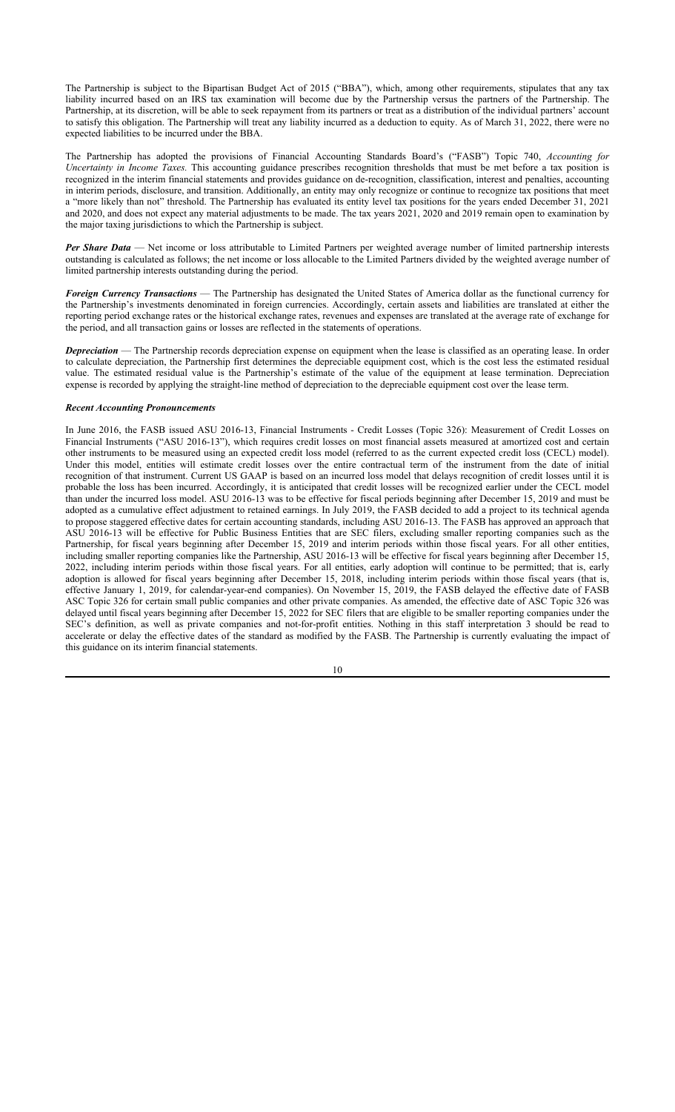The Partnership is subject to the Bipartisan Budget Act of 2015 ("BBA"), which, among other requirements, stipulates that any tax liability incurred based on an IRS tax examination will become due by the Partnership versus the partners of the Partnership. The Partnership, at its discretion, will be able to seek repayment from its partners or treat as a distribution of the individual partners' account to satisfy this obligation. The Partnership will treat any liability incurred as a deduction to equity. As of March 31, 2022, there were no expected liabilities to be incurred under the BBA.

The Partnership has adopted the provisions of Financial Accounting Standards Board's ("FASB") Topic 740, *Accounting for Uncertainty in Income Taxes.* This accounting guidance prescribes recognition thresholds that must be met before a tax position is recognized in the interim financial statements and provides guidance on de-recognition, classification, interest and penalties, accounting in interim periods, disclosure, and transition. Additionally, an entity may only recognize or continue to recognize tax positions that meet a "more likely than not" threshold. The Partnership has evaluated its entity level tax positions for the years ended December 31, 2021 and 2020, and does not expect any material adjustments to be made. The tax years 2021, 2020 and 2019 remain open to examination by the major taxing jurisdictions to which the Partnership is subject.

*Per Share Data* — Net income or loss attributable to Limited Partners per weighted average number of limited partnership interests outstanding is calculated as follows; the net income or loss allocable to the Limited Partners divided by the weighted average number of limited partnership interests outstanding during the period.

*Foreign Currency Transactions* — The Partnership has designated the United States of America dollar as the functional currency for the Partnership's investments denominated in foreign currencies. Accordingly, certain assets and liabilities are translated at either the reporting period exchange rates or the historical exchange rates, revenues and expenses are translated at the average rate of exchange for the period, and all transaction gains or losses are reflected in the statements of operations.

*Depreciation* — The Partnership records depreciation expense on equipment when the lease is classified as an operating lease. In order to calculate depreciation, the Partnership first determines the depreciable equipment cost, which is the cost less the estimated residual value. The estimated residual value is the Partnership's estimate of the value of the equipment at lease termination. Depreciation expense is recorded by applying the straight-line method of depreciation to the depreciable equipment cost over the lease term.

#### *Recent Accounting Pronouncements*

In June 2016, the FASB issued ASU 2016-13, Financial Instruments - Credit Losses (Topic 326): Measurement of Credit Losses on Financial Instruments ("ASU 2016-13"), which requires credit losses on most financial assets measured at amortized cost and certain other instruments to be measured using an expected credit loss model (referred to as the current expected credit loss (CECL) model). Under this model, entities will estimate credit losses over the entire contractual term of the instrument from the date of initial recognition of that instrument. Current US GAAP is based on an incurred loss model that delays recognition of credit losses until it is probable the loss has been incurred. Accordingly, it is anticipated that credit losses will be recognized earlier under the CECL model than under the incurred loss model. ASU 2016-13 was to be effective for fiscal periods beginning after December 15, 2019 and must be adopted as a cumulative effect adjustment to retained earnings. In July 2019, the FASB decided to add a project to its technical agenda to propose staggered effective dates for certain accounting standards, including ASU 2016-13. The FASB has approved an approach that ASU 2016-13 will be effective for Public Business Entities that are SEC filers, excluding smaller reporting companies such as the Partnership, for fiscal years beginning after December 15, 2019 and interim periods within those fiscal years. For all other entities, including smaller reporting companies like the Partnership, ASU 2016-13 will be effective for fiscal years beginning after December 15, 2022, including interim periods within those fiscal years. For all entities, early adoption will continue to be permitted; that is, early adoption is allowed for fiscal years beginning after December 15, 2018, including interim periods within those fiscal years (that is, effective January 1, 2019, for calendar-year-end companies). On November 15, 2019, the FASB delayed the effective date of FASB ASC Topic 326 for certain small public companies and other private companies. As amended, the effective date of ASC Topic 326 was delayed until fiscal years beginning after December 15, 2022 for SEC filers that are eligible to be smaller reporting companies under the SEC's definition, as well as private companies and not-for-profit entities. Nothing in this staff interpretation 3 should be read to accelerate or delay the effective dates of the standard as modified by the FASB. The Partnership is currently evaluating the impact of this guidance on its interim financial statements.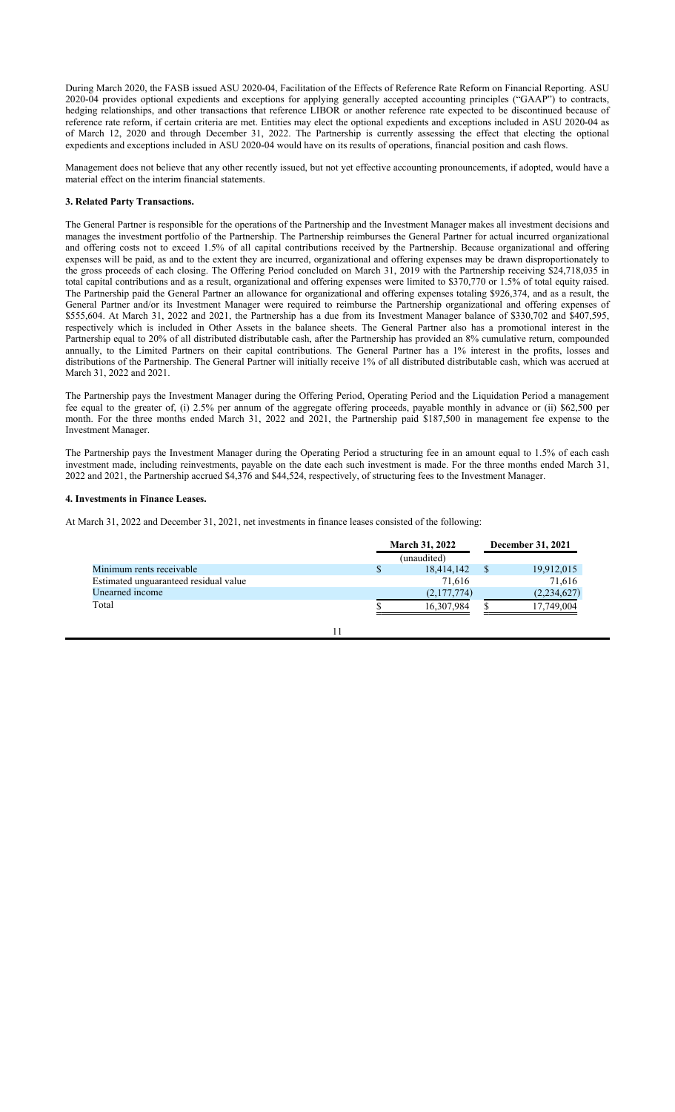During March 2020, the FASB issued ASU 2020-04, Facilitation of the Effects of Reference Rate Reform on Financial Reporting. ASU 2020-04 provides optional expedients and exceptions for applying generally accepted accounting principles ("GAAP") to contracts, hedging relationships, and other transactions that reference LIBOR or another reference rate expected to be discontinued because of reference rate reform, if certain criteria are met. Entities may elect the optional expedients and exceptions included in ASU 2020-04 as of March 12, 2020 and through December 31, 2022. The Partnership is currently assessing the effect that electing the optional expedients and exceptions included in ASU 2020-04 would have on its results of operations, financial position and cash flows.

Management does not believe that any other recently issued, but not yet effective accounting pronouncements, if adopted, would have a material effect on the interim financial statements.

#### **3. Related Party Transactions.**

The General Partner is responsible for the operations of the Partnership and the Investment Manager makes all investment decisions and manages the investment portfolio of the Partnership. The Partnership reimburses the General Partner for actual incurred organizational and offering costs not to exceed 1.5% of all capital contributions received by the Partnership. Because organizational and offering expenses will be paid, as and to the extent they are incurred, organizational and offering expenses may be drawn disproportionately to the gross proceeds of each closing. The Offering Period concluded on March 31, 2019 with the Partnership receiving \$24,718,035 in total capital contributions and as a result, organizational and offering expenses were limited to \$370,770 or 1.5% of total equity raised. The Partnership paid the General Partner an allowance for organizational and offering expenses totaling \$926,374, and as a result, the General Partner and/or its Investment Manager were required to reimburse the Partnership organizational and offering expenses of \$555,604. At March 31, 2022 and 2021, the Partnership has a due from its Investment Manager balance of \$330,702 and \$407,595, respectively which is included in Other Assets in the balance sheets. The General Partner also has a promotional interest in the Partnership equal to 20% of all distributed distributable cash, after the Partnership has provided an 8% cumulative return, compounded annually, to the Limited Partners on their capital contributions. The General Partner has a 1% interest in the profits, losses and distributions of the Partnership. The General Partner will initially receive 1% of all distributed distributable cash, which was accrued at March 31, 2022 and 2021.

The Partnership pays the Investment Manager during the Offering Period, Operating Period and the Liquidation Period a management fee equal to the greater of, (i) 2.5% per annum of the aggregate offering proceeds, payable monthly in advance or (ii) \$62,500 per month. For the three months ended March 31, 2022 and 2021, the Partnership paid \$187,500 in management fee expense to the Investment Manager.

The Partnership pays the Investment Manager during the Operating Period a structuring fee in an amount equal to 1.5% of each cash investment made, including reinvestments, payable on the date each such investment is made. For the three months ended March 31, 2022 and 2021, the Partnership accrued \$4,376 and \$44,524, respectively, of structuring fees to the Investment Manager.

#### **4. Investments in Finance Leases.**

At March 31, 2022 and December 31, 2021, net investments in finance leases consisted of the following:

|                                       | <b>March 31, 2022</b> |  | December 31, 2021 |
|---------------------------------------|-----------------------|--|-------------------|
|                                       | (unaudited)           |  |                   |
| Minimum rents receivable              | 18,414,142            |  | 19,912,015        |
| Estimated unguaranteed residual value | 71.616                |  | 71,616            |
| Unearned income                       | (2,177,774)           |  | (2,234,627)       |
| Total                                 | 16,307,984            |  | 17,749,004        |
|                                       |                       |  |                   |

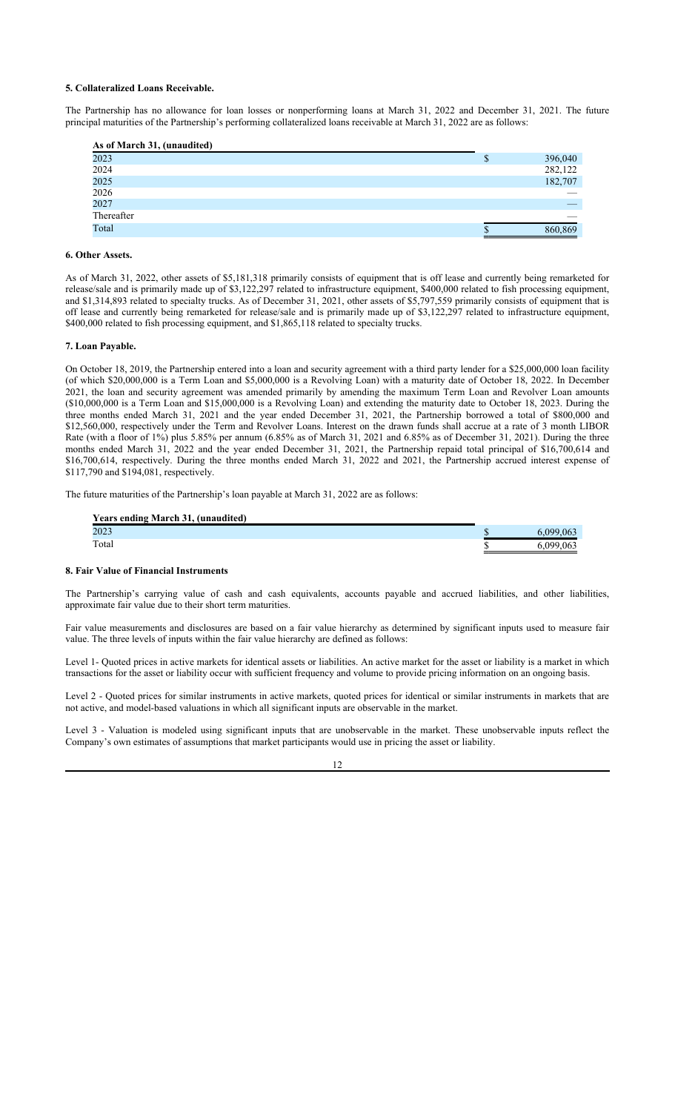#### **5. Collateralized Loans Receivable.**

The Partnership has no allowance for loan losses or nonperforming loans at March 31, 2022 and December 31, 2021. The future principal maturities of the Partnership's performing collateralized loans receivable at March 31, 2022 are as follows:

| As of March 31, (unaudited) |        |         |
|-----------------------------|--------|---------|
| 2023                        | ¢<br>Φ | 396,040 |
| 2024                        |        | 282,122 |
| 2025                        |        | 182,707 |
| 2026                        |        |         |
| 2027                        |        |         |
| Thereafter                  |        |         |
| Total                       |        | 860,869 |

#### **6. Other Assets.**

As of March 31, 2022, other assets of \$5,181,318 primarily consists of equipment that is off lease and currently being remarketed for release/sale and is primarily made up of \$3,122,297 related to infrastructure equipment, \$400,000 related to fish processing equipment, and \$1,314,893 related to specialty trucks. As of December 31, 2021, other assets of \$5,797,559 primarily consists of equipment that is off lease and currently being remarketed for release/sale and is primarily made up of \$3,122,297 related to infrastructure equipment, \$400,000 related to fish processing equipment, and \$1,865,118 related to specialty trucks.

#### **7. Loan Payable.**

On October 18, 2019, the Partnership entered into a loan and security agreement with a third party lender for a \$25,000,000 loan facility (of which \$20,000,000 is a Term Loan and \$5,000,000 is a Revolving Loan) with a maturity date of October 18, 2022. In December 2021, the loan and security agreement was amended primarily by amending the maximum Term Loan and Revolver Loan amounts (\$10,000,000 is a Term Loan and \$15,000,000 is a Revolving Loan) and extending the maturity date to October 18, 2023. During the three months ended March 31, 2021 and the year ended December 31, 2021, the Partnership borrowed a total of \$800,000 and \$12,560,000, respectively under the Term and Revolver Loans. Interest on the drawn funds shall accrue at a rate of 3 month LIBOR Rate (with a floor of 1%) plus 5.85% per annum (6.85% as of March 31, 2021 and 6.85% as of December 31, 2021). During the three months ended March 31, 2022 and the year ended December 31, 2021, the Partnership repaid total principal of \$16,700,614 and \$16,700,614, respectively. During the three months ended March 31, 2022 and 2021, the Partnership accrued interest expense of \$117,790 and \$194,081, respectively.

The future maturities of the Partnership's loan payable at March 31, 2022 are as follows:

| <b>Years ending March 31, (unaudited)</b> |           |
|-------------------------------------------|-----------|
| 2023                                      | 6.099.063 |
| Total                                     | 6.099.063 |

#### **8. Fair Value of Financial Instruments**

The Partnership's carrying value of cash and cash equivalents, accounts payable and accrued liabilities, and other liabilities, approximate fair value due to their short term maturities.

Fair value measurements and disclosures are based on a fair value hierarchy as determined by significant inputs used to measure fair value. The three levels of inputs within the fair value hierarchy are defined as follows:

Level 1- Quoted prices in active markets for identical assets or liabilities. An active market for the asset or liability is a market in which transactions for the asset or liability occur with sufficient frequency and volume to provide pricing information on an ongoing basis.

Level 2 - Quoted prices for similar instruments in active markets, quoted prices for identical or similar instruments in markets that are not active, and model-based valuations in which all significant inputs are observable in the market.

Level 3 - Valuation is modeled using significant inputs that are unobservable in the market. These unobservable inputs reflect the Company's own estimates of assumptions that market participants would use in pricing the asset or liability.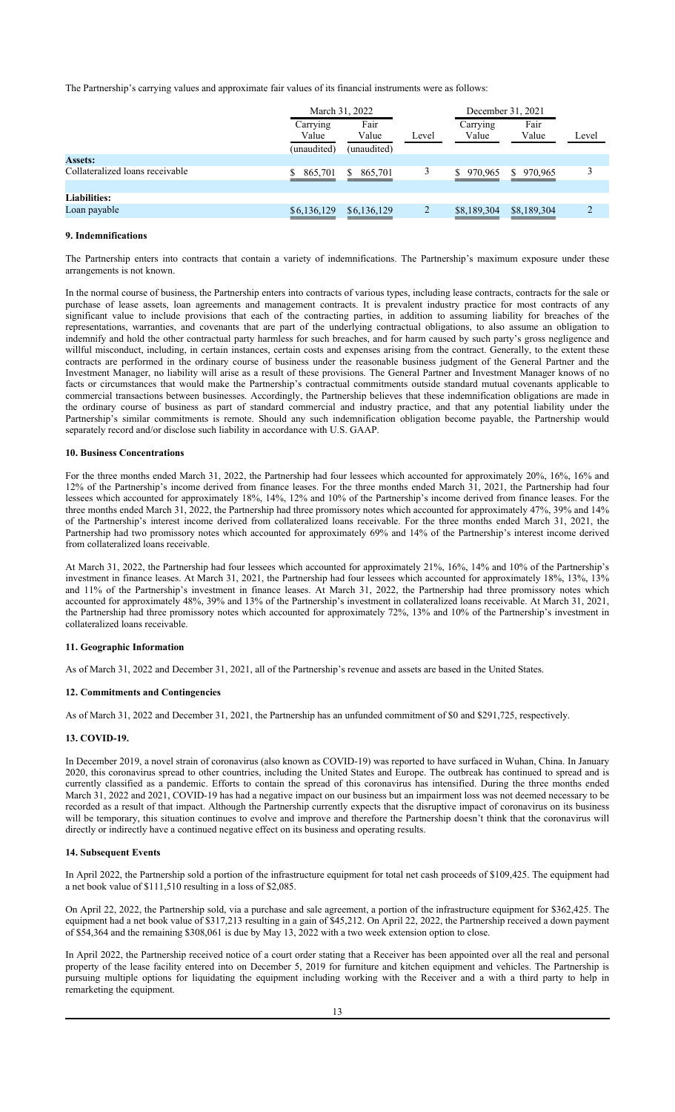The Partnership's carrying values and approximate fair values of its financial instruments were as follows:

|                                 | March 31, 2022    |               |                | December 31, 2021 |               |       |
|---------------------------------|-------------------|---------------|----------------|-------------------|---------------|-------|
|                                 | Carrying<br>Value | Fair<br>Value | Level          | Carrying<br>Value | Fair<br>Value | Level |
|                                 | (unaudited)       | (unaudited)   |                |                   |               |       |
| <b>Assets:</b>                  |                   |               |                |                   |               |       |
| Collateralized loans receivable | 865,701           | 865,701<br>S. | 3              | 970,965           | \$970,965     | 3     |
| <b>Liabilities:</b>             |                   |               |                |                   |               |       |
| Loan payable                    | \$6,136,129       | \$6,136,129   | $\overline{2}$ | \$8,189,304       | \$8,189,304   | C     |

#### **9. Indemnifications**

The Partnership enters into contracts that contain a variety of indemnifications. The Partnership's maximum exposure under these arrangements is not known.

In the normal course of business, the Partnership enters into contracts of various types, including lease contracts, contracts for the sale or purchase of lease assets, loan agreements and management contracts. It is prevalent industry practice for most contracts of any significant value to include provisions that each of the contracting parties, in addition to assuming liability for breaches of the representations, warranties, and covenants that are part of the underlying contractual obligations, to also assume an obligation to indemnify and hold the other contractual party harmless for such breaches, and for harm caused by such party's gross negligence and willful misconduct, including, in certain instances, certain costs and expenses arising from the contract. Generally, to the extent these contracts are performed in the ordinary course of business under the reasonable business judgment of the General Partner and the Investment Manager, no liability will arise as a result of these provisions. The General Partner and Investment Manager knows of no facts or circumstances that would make the Partnership's contractual commitments outside standard mutual covenants applicable to commercial transactions between businesses. Accordingly, the Partnership believes that these indemnification obligations are made in the ordinary course of business as part of standard commercial and industry practice, and that any potential liability under the Partnership's similar commitments is remote. Should any such indemnification obligation become payable, the Partnership would separately record and/or disclose such liability in accordance with U.S. GAAP.

#### **10. Business Concentrations**

For the three months ended March 31, 2022, the Partnership had four lessees which accounted for approximately 20%, 16%, 16% and 12% of the Partnership's income derived from finance leases. For the three months ended March 31, 2021, the Partnership had four lessees which accounted for approximately 18%, 14%, 12% and 10% of the Partnership's income derived from finance leases. For the three months ended March 31, 2022, the Partnership had three promissory notes which accounted for approximately 47%, 39% and 14% of the Partnership's interest income derived from collateralized loans receivable. For the three months ended March 31, 2021, the Partnership had two promissory notes which accounted for approximately 69% and 14% of the Partnership's interest income derived from collateralized loans receivable.

At March 31, 2022, the Partnership had four lessees which accounted for approximately 21%, 16%, 14% and 10% of the Partnership's investment in finance leases. At March 31, 2021, the Partnership had four lessees which accounted for approximately 18%, 13%, 13% and 11% of the Partnership's investment in finance leases. At March 31, 2022, the Partnership had three promissory notes which accounted for approximately 48%, 39% and 13% of the Partnership's investment in collateralized loans receivable. At March 31, 2021, the Partnership had three promissory notes which accounted for approximately 72%, 13% and 10% of the Partnership's investment in collateralized loans receivable.

#### **11. Geographic Information**

As of March 31, 2022 and December 31, 2021, all of the Partnership's revenue and assets are based in the United States.

#### **12. Commitments and Contingencies**

As of March 31, 2022 and December 31, 2021, the Partnership has an unfunded commitment of \$0 and \$291,725, respectively.

#### **13. COVID-19.**

In December 2019, a novel strain of coronavirus (also known as COVID-19) was reported to have surfaced in Wuhan, China. In January 2020, this coronavirus spread to other countries, including the United States and Europe. The outbreak has continued to spread and is currently classified as a pandemic. Efforts to contain the spread of this coronavirus has intensified. During the three months ended March 31, 2022 and 2021, COVID-19 has had a negative impact on our business but an impairment loss was not deemed necessary to be recorded as a result of that impact. Although the Partnership currently expects that the disruptive impact of coronavirus on its business will be temporary, this situation continues to evolve and improve and therefore the Partnership doesn't think that the coronavirus will directly or indirectly have a continued negative effect on its business and operating results.

#### **14. Subsequent Events**

In April 2022, the Partnership sold a portion of the infrastructure equipment for total net cash proceeds of \$109,425. The equipment had a net book value of \$111,510 resulting in a loss of \$2,085.

On April 22, 2022, the Partnership sold, via a purchase and sale agreement, a portion of the infrastructure equipment for \$362,425. The equipment had a net book value of \$317,213 resulting in a gain of \$45,212. On April 22, 2022, the Partnership received a down payment of \$54,364 and the remaining \$308,061 is due by May 13, 2022 with a two week extension option to close.

In April 2022, the Partnership received notice of a court order stating that a Receiver has been appointed over all the real and personal property of the lease facility entered into on December 5, 2019 for furniture and kitchen equipment and vehicles. The Partnership is pursuing multiple options for liquidating the equipment including working with the Receiver and a with a third party to help in remarketing the equipment.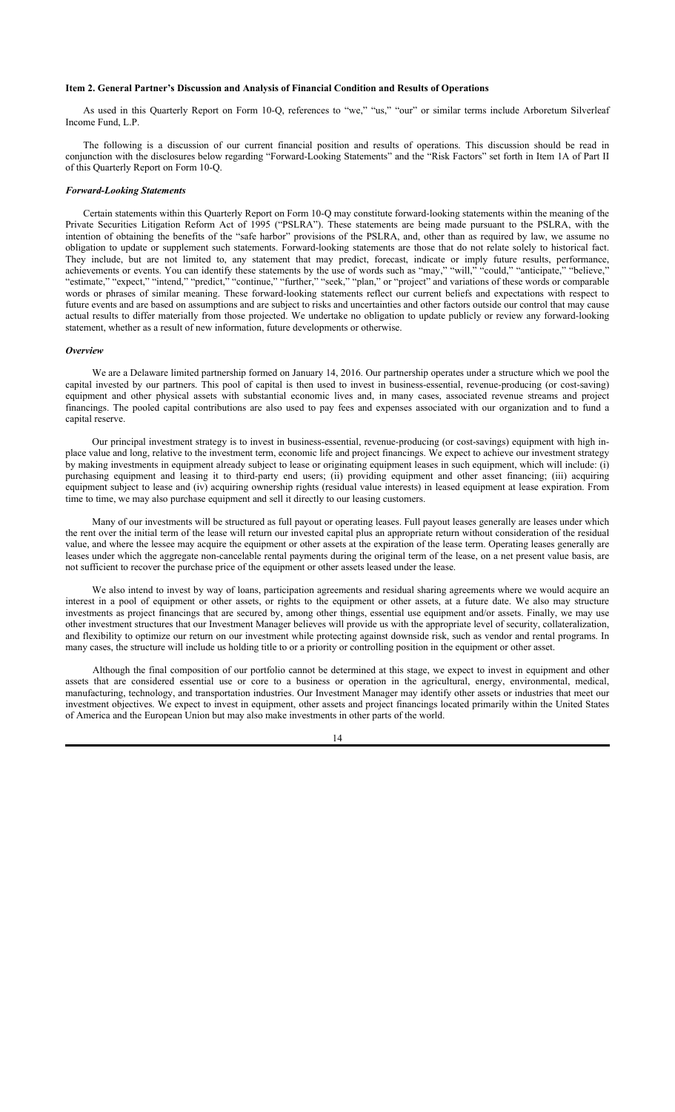#### **Item 2. General Partner's Discussion and Analysis of Financial Condition and Results of Operations**

As used in this Quarterly Report on Form 10-Q, references to "we," "us," "our" or similar terms include Arboretum Silverleaf Income Fund, L.P.

The following is a discussion of our current financial position and results of operations. This discussion should be read in conjunction with the disclosures below regarding "Forward-Looking Statements" and the "Risk Factors" set forth in Item 1A of Part II of this Quarterly Report on Form 10-Q.

#### *Forward-Looking Statements*

Certain statements within this Quarterly Report on Form 10-Q may constitute forward-looking statements within the meaning of the Private Securities Litigation Reform Act of 1995 ("PSLRA"). These statements are being made pursuant to the PSLRA, with the intention of obtaining the benefits of the "safe harbor" provisions of the PSLRA, and, other than as required by law, we assume no obligation to update or supplement such statements. Forward-looking statements are those that do not relate solely to historical fact. They include, but are not limited to, any statement that may predict, forecast, indicate or imply future results, performance, achievements or events. You can identify these statements by the use of words such as "may," "will," "could," "anticipate," "believe," "estimate," "expect," "intend," "predict," "continue," "further," "seek," "plan," or "project" and variations of these words or comparable words or phrases of similar meaning. These forward-looking statements reflect our current beliefs and expectations with respect to future events and are based on assumptions and are subject to risks and uncertainties and other factors outside our control that may cause actual results to differ materially from those projected. We undertake no obligation to update publicly or review any forward-looking statement, whether as a result of new information, future developments or otherwise.

#### *Overview*

We are a Delaware limited partnership formed on January 14, 2016. Our partnership operates under a structure which we pool the capital invested by our partners. This pool of capital is then used to invest in business-essential, revenue-producing (or cost-saving) equipment and other physical assets with substantial economic lives and, in many cases, associated revenue streams and project financings. The pooled capital contributions are also used to pay fees and expenses associated with our organization and to fund a capital reserve.

Our principal investment strategy is to invest in business-essential, revenue-producing (or cost-savings) equipment with high inplace value and long, relative to the investment term, economic life and project financings. We expect to achieve our investment strategy by making investments in equipment already subject to lease or originating equipment leases in such equipment, which will include: (i) purchasing equipment and leasing it to third-party end users; (ii) providing equipment and other asset financing; (iii) acquiring equipment subject to lease and (iv) acquiring ownership rights (residual value interests) in leased equipment at lease expiration. From time to time, we may also purchase equipment and sell it directly to our leasing customers.

Many of our investments will be structured as full payout or operating leases. Full payout leases generally are leases under which the rent over the initial term of the lease will return our invested capital plus an appropriate return without consideration of the residual value, and where the lessee may acquire the equipment or other assets at the expiration of the lease term. Operating leases generally are leases under which the aggregate non-cancelable rental payments during the original term of the lease, on a net present value basis, are not sufficient to recover the purchase price of the equipment or other assets leased under the lease.

We also intend to invest by way of loans, participation agreements and residual sharing agreements where we would acquire an interest in a pool of equipment or other assets, or rights to the equipment or other assets, at a future date. We also may structure investments as project financings that are secured by, among other things, essential use equipment and/or assets. Finally, we may use other investment structures that our Investment Manager believes will provide us with the appropriate level of security, collateralization, and flexibility to optimize our return on our investment while protecting against downside risk, such as vendor and rental programs. In many cases, the structure will include us holding title to or a priority or controlling position in the equipment or other asset.

Although the final composition of our portfolio cannot be determined at this stage, we expect to invest in equipment and other assets that are considered essential use or core to a business or operation in the agricultural, energy, environmental, medical, manufacturing, technology, and transportation industries. Our Investment Manager may identify other assets or industries that meet our investment objectives. We expect to invest in equipment, other assets and project financings located primarily within the United States of America and the European Union but may also make investments in other parts of the world.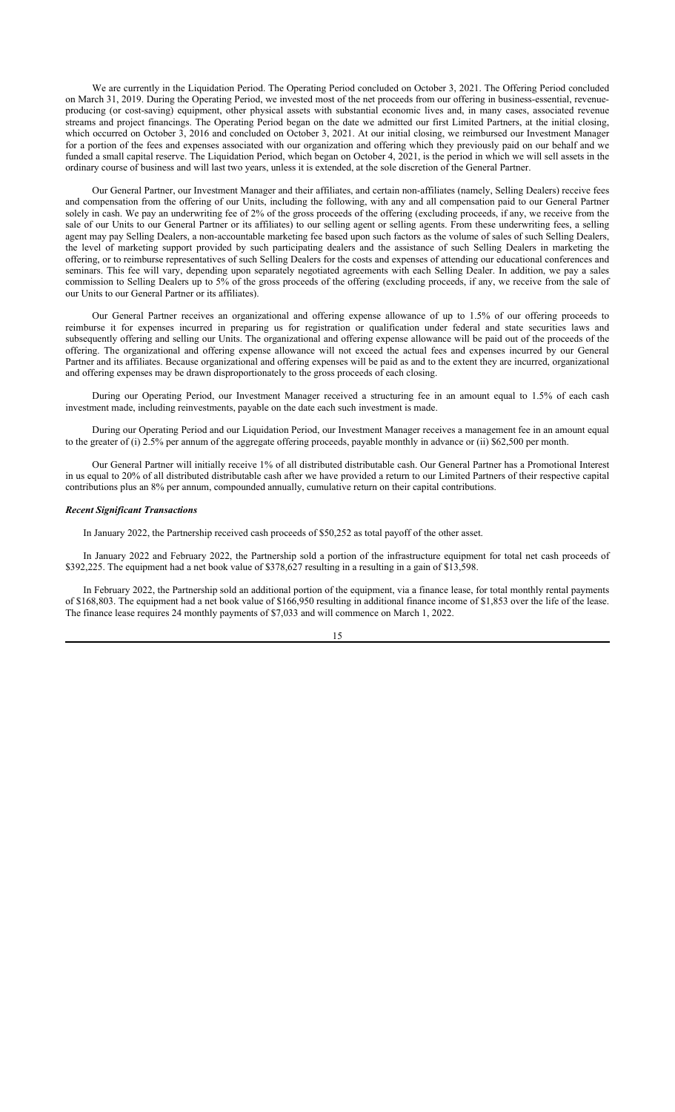We are currently in the Liquidation Period. The Operating Period concluded on October 3, 2021. The Offering Period concluded on March 31, 2019. During the Operating Period, we invested most of the net proceeds from our offering in business-essential, revenueproducing (or cost-saving) equipment, other physical assets with substantial economic lives and, in many cases, associated revenue streams and project financings. The Operating Period began on the date we admitted our first Limited Partners, at the initial closing, which occurred on October 3, 2016 and concluded on October 3, 2021. At our initial closing, we reimbursed our Investment Manager for a portion of the fees and expenses associated with our organization and offering which they previously paid on our behalf and we funded a small capital reserve. The Liquidation Period, which began on October 4, 2021, is the period in which we will sell assets in the ordinary course of business and will last two years, unless it is extended, at the sole discretion of the General Partner.

Our General Partner, our Investment Manager and their affiliates, and certain non-affiliates (namely, Selling Dealers) receive fees and compensation from the offering of our Units, including the following, with any and all compensation paid to our General Partner solely in cash. We pay an underwriting fee of 2% of the gross proceeds of the offering (excluding proceeds, if any, we receive from the sale of our Units to our General Partner or its affiliates) to our selling agent or selling agents. From these underwriting fees, a selling agent may pay Selling Dealers, a non-accountable marketing fee based upon such factors as the volume of sales of such Selling Dealers, the level of marketing support provided by such participating dealers and the assistance of such Selling Dealers in marketing the offering, or to reimburse representatives of such Selling Dealers for the costs and expenses of attending our educational conferences and seminars. This fee will vary, depending upon separately negotiated agreements with each Selling Dealer. In addition, we pay a sales commission to Selling Dealers up to 5% of the gross proceeds of the offering (excluding proceeds, if any, we receive from the sale of our Units to our General Partner or its affiliates).

Our General Partner receives an organizational and offering expense allowance of up to 1.5% of our offering proceeds to reimburse it for expenses incurred in preparing us for registration or qualification under federal and state securities laws and subsequently offering and selling our Units. The organizational and offering expense allowance will be paid out of the proceeds of the offering. The organizational and offering expense allowance will not exceed the actual fees and expenses incurred by our General Partner and its affiliates. Because organizational and offering expenses will be paid as and to the extent they are incurred, organizational and offering expenses may be drawn disproportionately to the gross proceeds of each closing.

During our Operating Period, our Investment Manager received a structuring fee in an amount equal to 1.5% of each cash investment made, including reinvestments, payable on the date each such investment is made.

During our Operating Period and our Liquidation Period, our Investment Manager receives a management fee in an amount equal to the greater of (i) 2.5% per annum of the aggregate offering proceeds, payable monthly in advance or (ii) \$62,500 per month.

Our General Partner will initially receive 1% of all distributed distributable cash. Our General Partner has a Promotional Interest in us equal to 20% of all distributed distributable cash after we have provided a return to our Limited Partners of their respective capital contributions plus an 8% per annum, compounded annually, cumulative return on their capital contributions.

#### *Recent Significant Transactions*

In January 2022, the Partnership received cash proceeds of \$50,252 as total payoff of the other asset.

In January 2022 and February 2022, the Partnership sold a portion of the infrastructure equipment for total net cash proceeds of \$392,225. The equipment had a net book value of \$378,627 resulting in a resulting in a gain of \$13,598.

In February 2022, the Partnership sold an additional portion of the equipment, via a finance lease, for total monthly rental payments of \$168,803. The equipment had a net book value of \$166,950 resulting in additional finance income of \$1,853 over the life of the lease. The finance lease requires 24 monthly payments of \$7,033 and will commence on March 1, 2022.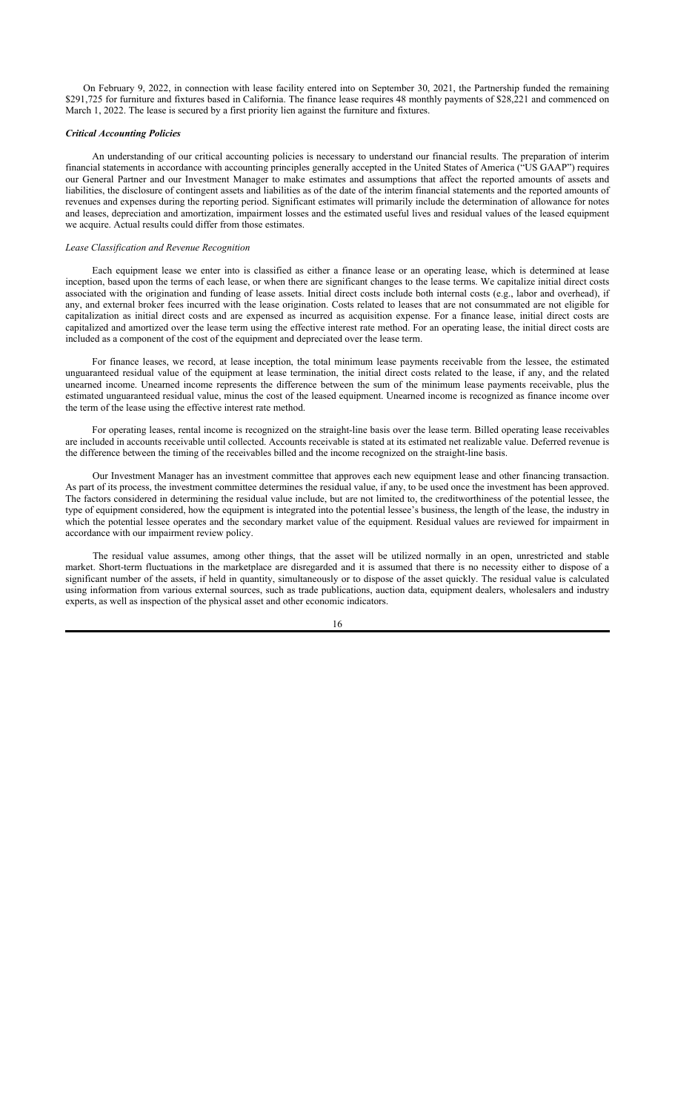On February 9, 2022, in connection with lease facility entered into on September 30, 2021, the Partnership funded the remaining \$291,725 for furniture and fixtures based in California. The finance lease requires 48 monthly payments of \$28,221 and commenced on March 1, 2022. The lease is secured by a first priority lien against the furniture and fixtures.

#### *Critical Accounting Policies*

An understanding of our critical accounting policies is necessary to understand our financial results. The preparation of interim financial statements in accordance with accounting principles generally accepted in the United States of America ("US GAAP") requires our General Partner and our Investment Manager to make estimates and assumptions that affect the reported amounts of assets and liabilities, the disclosure of contingent assets and liabilities as of the date of the interim financial statements and the reported amounts of revenues and expenses during the reporting period. Significant estimates will primarily include the determination of allowance for notes and leases, depreciation and amortization, impairment losses and the estimated useful lives and residual values of the leased equipment we acquire. Actual results could differ from those estimates.

#### *Lease Classification and Revenue Recognition*

Each equipment lease we enter into is classified as either a finance lease or an operating lease, which is determined at lease inception, based upon the terms of each lease, or when there are significant changes to the lease terms. We capitalize initial direct costs associated with the origination and funding of lease assets. Initial direct costs include both internal costs (e.g., labor and overhead), if any, and external broker fees incurred with the lease origination. Costs related to leases that are not consummated are not eligible for capitalization as initial direct costs and are expensed as incurred as acquisition expense. For a finance lease, initial direct costs are capitalized and amortized over the lease term using the effective interest rate method. For an operating lease, the initial direct costs are included as a component of the cost of the equipment and depreciated over the lease term.

For finance leases, we record, at lease inception, the total minimum lease payments receivable from the lessee, the estimated unguaranteed residual value of the equipment at lease termination, the initial direct costs related to the lease, if any, and the related unearned income. Unearned income represents the difference between the sum of the minimum lease payments receivable, plus the estimated unguaranteed residual value, minus the cost of the leased equipment. Unearned income is recognized as finance income over the term of the lease using the effective interest rate method.

For operating leases, rental income is recognized on the straight-line basis over the lease term. Billed operating lease receivables are included in accounts receivable until collected. Accounts receivable is stated at its estimated net realizable value. Deferred revenue is the difference between the timing of the receivables billed and the income recognized on the straight-line basis.

Our Investment Manager has an investment committee that approves each new equipment lease and other financing transaction. As part of its process, the investment committee determines the residual value, if any, to be used once the investment has been approved. The factors considered in determining the residual value include, but are not limited to, the creditworthiness of the potential lessee, the type of equipment considered, how the equipment is integrated into the potential lessee's business, the length of the lease, the industry in which the potential lessee operates and the secondary market value of the equipment. Residual values are reviewed for impairment in accordance with our impairment review policy.

The residual value assumes, among other things, that the asset will be utilized normally in an open, unrestricted and stable market. Short-term fluctuations in the marketplace are disregarded and it is assumed that there is no necessity either to dispose of a significant number of the assets, if held in quantity, simultaneously or to dispose of the asset quickly. The residual value is calculated using information from various external sources, such as trade publications, auction data, equipment dealers, wholesalers and industry experts, as well as inspection of the physical asset and other economic indicators.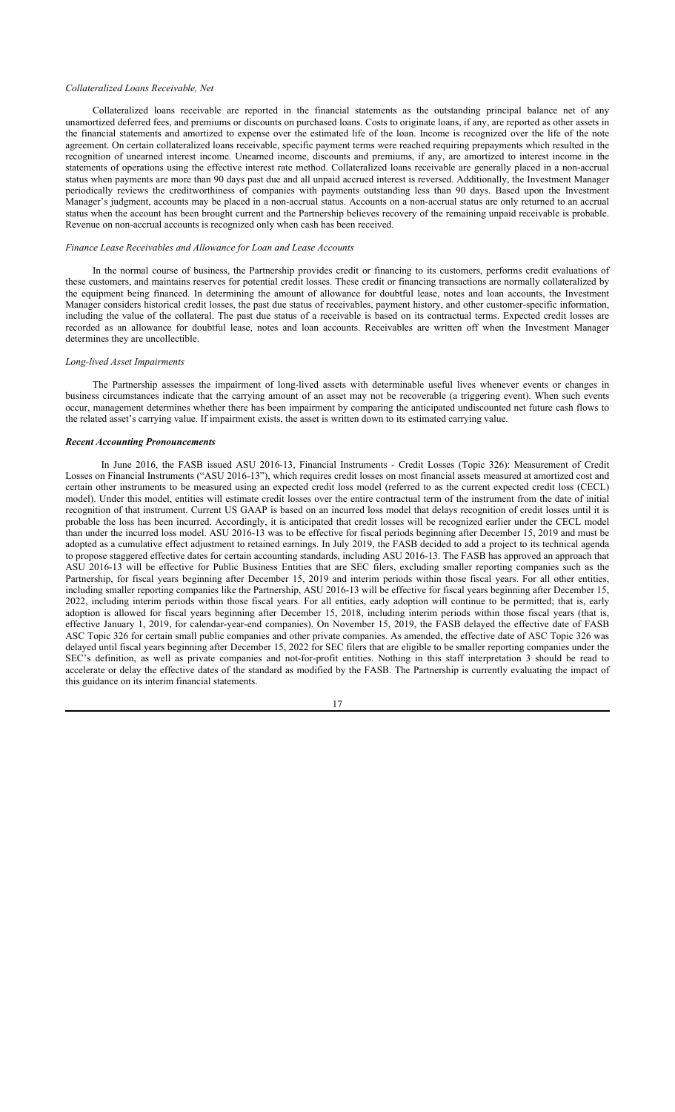#### *Collateralized Loans Receivable, Net*

Collateralized loans receivable are reported in the financial statements as the outstanding principal balance net of any unamortized deferred fees, and premiums or discounts on purchased loans. Costs to originate loans, if any, are reported as other assets in the financial statements and amortized to expense over the estimated life of the loan. Income is recognized over the life of the note agreement. On certain collateralized loans receivable, specific payment terms were reached requiring prepayments which resulted in the recognition of unearned interest income. Unearned income, discounts and premiums, if any, are amortized to interest income in the statements of operations using the effective interest rate method. Collateralized loans receivable are generally placed in a non-accrual status when payments are more than 90 days past due and all unpaid accrued interest is reversed. Additionally, the Investment Manager periodically reviews the creditworthiness of companies with payments outstanding less than 90 days. Based upon the Investment Manager's judgment, accounts may be placed in a non-accrual status. Accounts on a non-accrual status are only returned to an accrual status when the account has been brought current and the Partnership believes recovery of the remaining unpaid receivable is probable. Revenue on non-accrual accounts is recognized only when cash has been received.

#### *Finance Lease Receivables and Allowance for Loan and Lease Accounts*

In the normal course of business, the Partnership provides credit or financing to its customers, performs credit evaluations of these customers, and maintains reserves for potential credit losses. These credit or financing transactions are normally collateralized by the equipment being financed. In determining the amount of allowance for doubtful lease, notes and loan accounts, the Investment Manager considers historical credit losses, the past due status of receivables, payment history, and other customer-specific information, including the value of the collateral. The past due status of a receivable is based on its contractual terms. Expected credit losses are recorded as an allowance for doubtful lease, notes and loan accounts. Receivables are written off when the Investment Manager determines they are uncollectible.

#### *Long-lived Asset Impairments*

The Partnership assesses the impairment of long-lived assets with determinable useful lives whenever events or changes in business circumstances indicate that the carrying amount of an asset may not be recoverable (a triggering event). When such events occur, management determines whether there has been impairment by comparing the anticipated undiscounted net future cash flows to the related asset's carrying value. If impairment exists, the asset is written down to its estimated carrying value.

#### *Recent Accounting Pronouncements*

In June 2016, the FASB issued ASU 2016-13, Financial Instruments - Credit Losses (Topic 326): Measurement of Credit Losses on Financial Instruments ("ASU 2016-13"), which requires credit losses on most financial assets measured at amortized cost and certain other instruments to be measured using an expected credit loss model (referred to as the current expected credit loss (CECL) model). Under this model, entities will estimate credit losses over the entire contractual term of the instrument from the date of initial recognition of that instrument. Current US GAAP is based on an incurred loss model that delays recognition of credit losses until it is probable the loss has been incurred. Accordingly, it is anticipated that credit losses will be recognized earlier under the CECL model than under the incurred loss model. ASU 2016-13 was to be effective for fiscal periods beginning after December 15, 2019 and must be adopted as a cumulative effect adjustment to retained earnings. In July 2019, the FASB decided to add a project to its technical agenda to propose staggered effective dates for certain accounting standards, including ASU 2016-13. The FASB has approved an approach that ASU 2016-13 will be effective for Public Business Entities that are SEC filers, excluding smaller reporting companies such as the Partnership, for fiscal years beginning after December 15, 2019 and interim periods within those fiscal years. For all other entities, including smaller reporting companies like the Partnership, ASU 2016-13 will be effective for fiscal years beginning after December 15, 2022, including interim periods within those fiscal years. For all entities, early adoption will continue to be permitted; that is, early adoption is allowed for fiscal years beginning after December 15, 2018, including interim periods within those fiscal years (that is, effective January 1, 2019, for calendar-year-end companies). On November 15, 2019, the FASB delayed the effective date of FASB ASC Topic 326 for certain small public companies and other private companies. As amended, the effective date of ASC Topic 326 was delayed until fiscal years beginning after December 15, 2022 for SEC filers that are eligible to be smaller reporting companies under the SEC's definition, as well as private companies and not-for-profit entities. Nothing in this staff interpretation 3 should be read to accelerate or delay the effective dates of the standard as modified by the FASB. The Partnership is currently evaluating the impact of this guidance on its interim financial statements.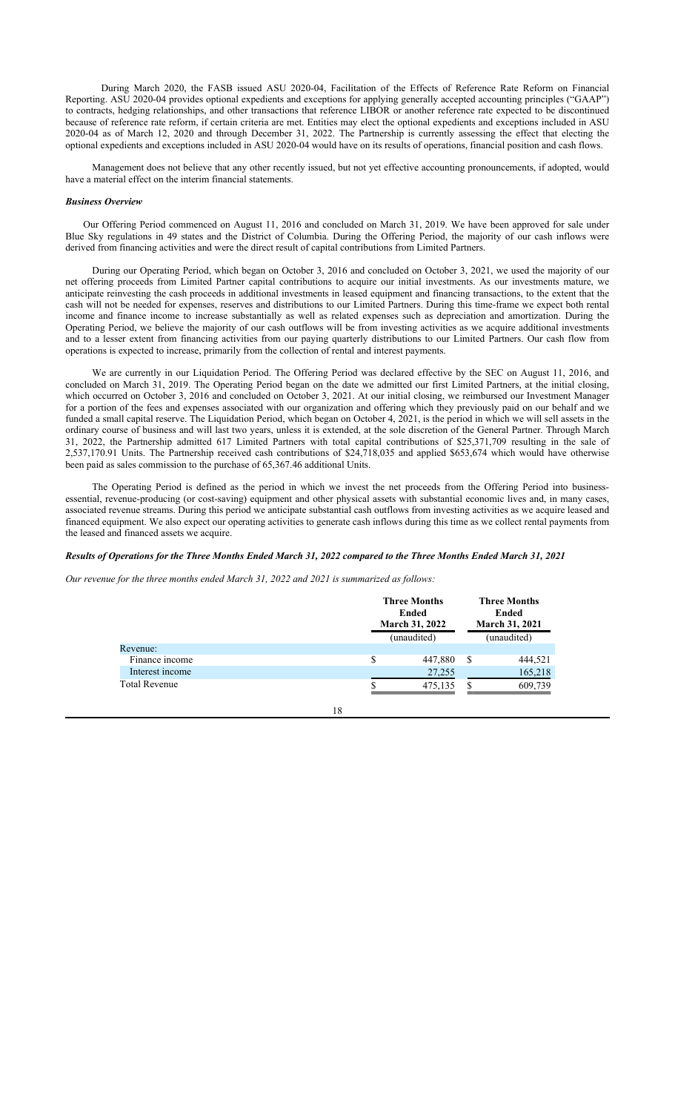During March 2020, the FASB issued ASU 2020-04, Facilitation of the Effects of Reference Rate Reform on Financial Reporting. ASU 2020-04 provides optional expedients and exceptions for applying generally accepted accounting principles ("GAAP") to contracts, hedging relationships, and other transactions that reference LIBOR or another reference rate expected to be discontinued because of reference rate reform, if certain criteria are met. Entities may elect the optional expedients and exceptions included in ASU 2020-04 as of March 12, 2020 and through December 31, 2022. The Partnership is currently assessing the effect that electing the optional expedients and exceptions included in ASU 2020-04 would have on its results of operations, financial position and cash flows.

Management does not believe that any other recently issued, but not yet effective accounting pronouncements, if adopted, would have a material effect on the interim financial statements.

#### *Business Overview*

Our Offering Period commenced on August 11, 2016 and concluded on March 31, 2019. We have been approved for sale under Blue Sky regulations in 49 states and the District of Columbia. During the Offering Period, the majority of our cash inflows were derived from financing activities and were the direct result of capital contributions from Limited Partners.

During our Operating Period, which began on October 3, 2016 and concluded on October 3, 2021, we used the majority of our net offering proceeds from Limited Partner capital contributions to acquire our initial investments. As our investments mature, we anticipate reinvesting the cash proceeds in additional investments in leased equipment and financing transactions, to the extent that the cash will not be needed for expenses, reserves and distributions to our Limited Partners. During this time-frame we expect both rental income and finance income to increase substantially as well as related expenses such as depreciation and amortization. During the Operating Period, we believe the majority of our cash outflows will be from investing activities as we acquire additional investments and to a lesser extent from financing activities from our paying quarterly distributions to our Limited Partners. Our cash flow from operations is expected to increase, primarily from the collection of rental and interest payments.

We are currently in our Liquidation Period. The Offering Period was declared effective by the SEC on August 11, 2016, and concluded on March 31, 2019. The Operating Period began on the date we admitted our first Limited Partners, at the initial closing, which occurred on October 3, 2016 and concluded on October 3, 2021. At our initial closing, we reimbursed our Investment Manager for a portion of the fees and expenses associated with our organization and offering which they previously paid on our behalf and we funded a small capital reserve. The Liquidation Period, which began on October 4, 2021, is the period in which we will sell assets in the ordinary course of business and will last two years, unless it is extended, at the sole discretion of the General Partner. Through March 31, 2022, the Partnership admitted 617 Limited Partners with total capital contributions of \$25,371,709 resulting in the sale of 2,537,170.91 Units. The Partnership received cash contributions of \$24,718,035 and applied \$653,674 which would have otherwise been paid as sales commission to the purchase of 65,367.46 additional Units.

The Operating Period is defined as the period in which we invest the net proceeds from the Offering Period into businessessential, revenue-producing (or cost-saving) equipment and other physical assets with substantial economic lives and, in many cases, associated revenue streams. During this period we anticipate substantial cash outflows from investing activities as we acquire leased and financed equipment. We also expect our operating activities to generate cash inflows during this time as we collect rental payments from the leased and financed assets we acquire.

#### *Results of Operations for the Three Months Ended March 31, 2022 compared to the Three Months Ended March 31, 2021*

*Our revenue for the three months ended March 31, 2022 and 2021 is summarized as follows:*

|                      | <b>Three Months</b><br>Ended<br><b>March 31, 2022</b><br>(unaudited) | <b>Three Months</b><br>Ended<br><b>March 31, 2021</b><br>(unaudited) |         |  |
|----------------------|----------------------------------------------------------------------|----------------------------------------------------------------------|---------|--|
| Revenue:             |                                                                      |                                                                      |         |  |
| Finance income       | \$<br>447,880                                                        | S                                                                    | 444.521 |  |
| Interest income      | 27,255                                                               |                                                                      | 165,218 |  |
| <b>Total Revenue</b> | 475,135                                                              |                                                                      | 609.739 |  |
|                      |                                                                      |                                                                      |         |  |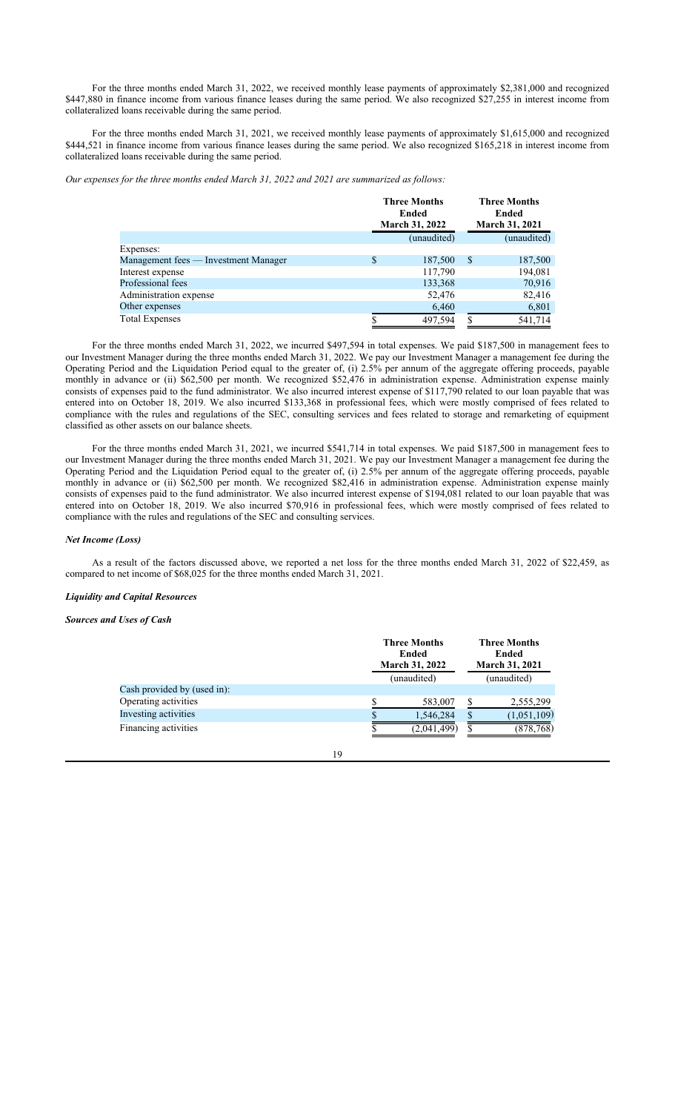For the three months ended March 31, 2022, we received monthly lease payments of approximately \$2,381,000 and recognized \$447,880 in finance income from various finance leases during the same period. We also recognized \$27,255 in interest income from collateralized loans receivable during the same period.

For the three months ended March 31, 2021, we received monthly lease payments of approximately \$1,615,000 and recognized \$444,521 in finance income from various finance leases during the same period. We also recognized \$165,218 in interest income from collateralized loans receivable during the same period.

*Our expenses for the three months ended March 31, 2022 and 2021 are summarized as follows:*

|                                      | <b>Three Months</b><br>Ended<br>March 31, 2022 |   | <b>Three Months</b><br>Ended<br><b>March 31, 2021</b> |
|--------------------------------------|------------------------------------------------|---|-------------------------------------------------------|
|                                      | (unaudited)                                    |   | (unaudited)                                           |
| Expenses:                            |                                                |   |                                                       |
| Management fees — Investment Manager | \$<br>187,500                                  | S | 187,500                                               |
| Interest expense                     | 117,790                                        |   | 194,081                                               |
| Professional fees                    | 133,368                                        |   | 70,916                                                |
| Administration expense               | 52,476                                         |   | 82,416                                                |
| Other expenses                       | 6,460                                          |   | 6,801                                                 |
| <b>Total Expenses</b>                | 497,594                                        | S | 541,714                                               |

For the three months ended March 31, 2022, we incurred \$497,594 in total expenses. We paid \$187,500 in management fees to our Investment Manager during the three months ended March 31, 2022. We pay our Investment Manager a management fee during the Operating Period and the Liquidation Period equal to the greater of, (i) 2.5% per annum of the aggregate offering proceeds, payable monthly in advance or (ii) \$62,500 per month. We recognized \$52,476 in administration expense. Administration expense mainly consists of expenses paid to the fund administrator. We also incurred interest expense of \$117,790 related to our loan payable that was entered into on October 18, 2019. We also incurred \$133,368 in professional fees, which were mostly comprised of fees related to compliance with the rules and regulations of the SEC, consulting services and fees related to storage and remarketing of equipment classified as other assets on our balance sheets.

For the three months ended March 31, 2021, we incurred \$541,714 in total expenses. We paid \$187,500 in management fees to our Investment Manager during the three months ended March 31, 2021. We pay our Investment Manager a management fee during the Operating Period and the Liquidation Period equal to the greater of, (i) 2.5% per annum of the aggregate offering proceeds, payable monthly in advance or (ii) \$62,500 per month. We recognized \$82,416 in administration expense. Administration expense mainly consists of expenses paid to the fund administrator. We also incurred interest expense of \$194,081 related to our loan payable that was entered into on October 18, 2019. We also incurred \$70,916 in professional fees, which were mostly comprised of fees related to compliance with the rules and regulations of the SEC and consulting services.

#### *Net Income (Loss)*

As a result of the factors discussed above, we reported a net loss for the three months ended March 31, 2022 of \$22,459, as compared to net income of \$68,025 for the three months ended March 31, 2021.

#### *Liquidity and Capital Resources*

*Sources and Uses of Cash*

| <b>Three Months</b><br>Ended<br><b>March 31, 2022</b><br>(unaudited) |             | <b>Three Months</b><br>Ended<br><b>March 31, 2021</b><br>(unaudited) |             |
|----------------------------------------------------------------------|-------------|----------------------------------------------------------------------|-------------|
|                                                                      |             |                                                                      |             |
|                                                                      | 583,007     |                                                                      | 2,555,299   |
|                                                                      | 1,546,284   | \$.                                                                  | (1,051,109) |
|                                                                      | (2,041,499) |                                                                      | (878,768)   |
|                                                                      |             |                                                                      |             |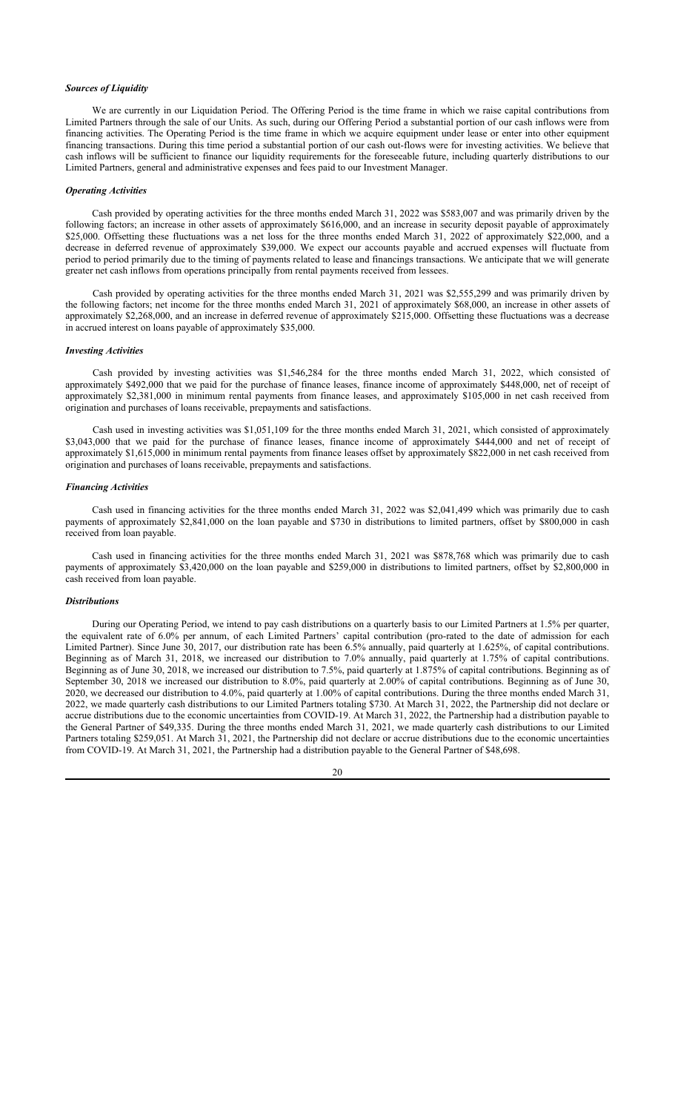#### *Sources of Liquidity*

We are currently in our Liquidation Period. The Offering Period is the time frame in which we raise capital contributions from Limited Partners through the sale of our Units. As such, during our Offering Period a substantial portion of our cash inflows were from financing activities. The Operating Period is the time frame in which we acquire equipment under lease or enter into other equipment financing transactions. During this time period a substantial portion of our cash out-flows were for investing activities. We believe that cash inflows will be sufficient to finance our liquidity requirements for the foreseeable future, including quarterly distributions to our Limited Partners, general and administrative expenses and fees paid to our Investment Manager.

#### *Operating Activities*

Cash provided by operating activities for the three months ended March 31, 2022 was \$583,007 and was primarily driven by the following factors; an increase in other assets of approximately \$616,000, and an increase in security deposit payable of approximately \$25,000. Offsetting these fluctuations was a net loss for the three months ended March 31, 2022 of approximately \$22,000, and a decrease in deferred revenue of approximately \$39,000. We expect our accounts payable and accrued expenses will fluctuate from period to period primarily due to the timing of payments related to lease and financings transactions. We anticipate that we will generate greater net cash inflows from operations principally from rental payments received from lessees.

Cash provided by operating activities for the three months ended March 31, 2021 was \$2,555,299 and was primarily driven by the following factors; net income for the three months ended March 31, 2021 of approximately \$68,000, an increase in other assets of approximately \$2,268,000, and an increase in deferred revenue of approximately  $$215,000$ . Offsetting these fluctuations was a decrease in accrued interest on loans payable of approximately \$35,000.

#### *Investing Activities*

Cash provided by investing activities was \$1,546,284 for the three months ended March 31, 2022, which consisted of approximately \$492,000 that we paid for the purchase of finance leases, finance income of approximately \$448,000, net of receipt of approximately \$2,381,000 in minimum rental payments from finance leases, and approximately \$105,000 in net cash received from origination and purchases of loans receivable, prepayments and satisfactions.

Cash used in investing activities was \$1,051,109 for the three months ended March 31, 2021, which consisted of approximately \$3,043,000 that we paid for the purchase of finance leases, finance income of approximately \$444,000 and net of receipt of approximately \$1,615,000 in minimum rental payments from finance leases offset by approximately \$822,000 in net cash received from origination and purchases of loans receivable, prepayments and satisfactions.

#### *Financing Activities*

Cash used in financing activities for the three months ended March 31, 2022 was \$2,041,499 which was primarily due to cash payments of approximately \$2,841,000 on the loan payable and \$730 in distributions to limited partners, offset by \$800,000 in cash received from loan payable.

Cash used in financing activities for the three months ended March 31, 2021 was \$878,768 which was primarily due to cash payments of approximately \$3,420,000 on the loan payable and \$259,000 in distributions to limited partners, offset by \$2,800,000 in cash received from loan payable.

## *Distributions*

During our Operating Period, we intend to pay cash distributions on a quarterly basis to our Limited Partners at 1.5% per quarter, the equivalent rate of 6.0% per annum, of each Limited Partners' capital contribution (pro-rated to the date of admission for each Limited Partner). Since June 30, 2017, our distribution rate has been 6.5% annually, paid quarterly at 1.625%, of capital contributions. Beginning as of March 31, 2018, we increased our distribution to 7.0% annually, paid quarterly at 1.75% of capital contributions. Beginning as of June 30, 2018, we increased our distribution to 7.5%, paid quarterly at 1.875% of capital contributions. Beginning as of September 30, 2018 we increased our distribution to 8.0%, paid quarterly at 2.00% of capital contributions. Beginning as of June 30, 2020, we decreased our distribution to 4.0%, paid quarterly at 1.00% of capital contributions. During the three months ended March 31, 2022, we made quarterly cash distributions to our Limited Partners totaling \$730. At March 31, 2022, the Partnership did not declare or accrue distributions due to the economic uncertainties from COVID-19. At March 31, 2022, the Partnership had a distribution payable to the General Partner of \$49,335. During the three months ended March 31, 2021, we made quarterly cash distributions to our Limited Partners totaling \$259,051. At March 31, 2021, the Partnership did not declare or accrue distributions due to the economic uncertainties from COVID-19. At March 31, 2021, the Partnership had a distribution payable to the General Partner of \$48,698.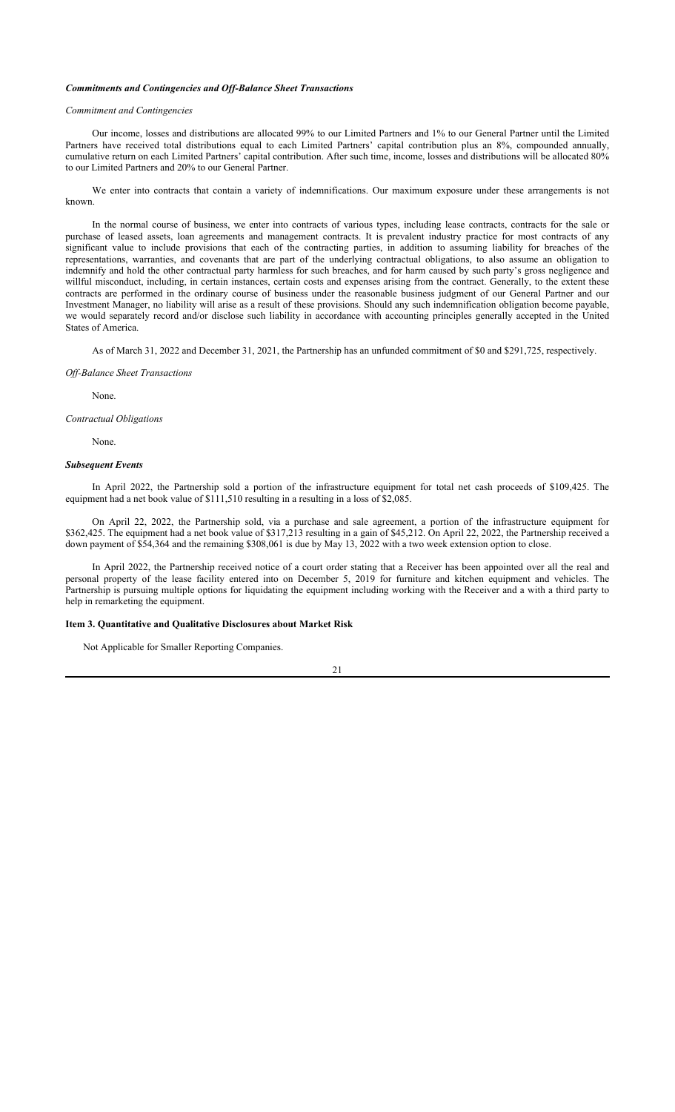#### *Commitments and Contingencies and Off-Balance Sheet Transactions*

#### *Commitment and Contingencies*

Our income, losses and distributions are allocated 99% to our Limited Partners and 1% to our General Partner until the Limited Partners have received total distributions equal to each Limited Partners' capital contribution plus an 8%, compounded annually, cumulative return on each Limited Partners' capital contribution. After such time, income, losses and distributions will be allocated 80% to our Limited Partners and 20% to our General Partner.

We enter into contracts that contain a variety of indemnifications. Our maximum exposure under these arrangements is not known.

In the normal course of business, we enter into contracts of various types, including lease contracts, contracts for the sale or purchase of leased assets, loan agreements and management contracts. It is prevalent industry practice for most contracts of any significant value to include provisions that each of the contracting parties, in addition to assuming liability for breaches of the representations, warranties, and covenants that are part of the underlying contractual obligations, to also assume an obligation to indemnify and hold the other contractual party harmless for such breaches, and for harm caused by such party's gross negligence and willful misconduct, including, in certain instances, certain costs and expenses arising from the contract. Generally, to the extent these contracts are performed in the ordinary course of business under the reasonable business judgment of our General Partner and our Investment Manager, no liability will arise as a result of these provisions. Should any such indemnification obligation become payable, we would separately record and/or disclose such liability in accordance with accounting principles generally accepted in the United States of America.

As of March 31, 2022 and December 31, 2021, the Partnership has an unfunded commitment of \$0 and \$291,725, respectively.

#### *Off-Balance Sheet Transactions*

None.

*Contractual Obligations*

None.

#### *Subsequent Events*

In April 2022, the Partnership sold a portion of the infrastructure equipment for total net cash proceeds of \$109,425. The equipment had a net book value of \$111,510 resulting in a resulting in a loss of \$2,085.

On April 22, 2022, the Partnership sold, via a purchase and sale agreement, a portion of the infrastructure equipment for \$362,425. The equipment had a net book value of \$317,213 resulting in a gain of \$45,212. On April 22, 2022, the Partnership received a down payment of \$54,364 and the remaining \$308,061 is due by May 13, 2022 with a two week extension option to close.

In April 2022, the Partnership received notice of a court order stating that a Receiver has been appointed over all the real and personal property of the lease facility entered into on December 5, 2019 for furniture and kitchen equipment and vehicles. The Partnership is pursuing multiple options for liquidating the equipment including working with the Receiver and a with a third party to help in remarketing the equipment.

#### **Item 3. Quantitative and Qualitative Disclosures about Market Risk**

Not Applicable for Smaller Reporting Companies.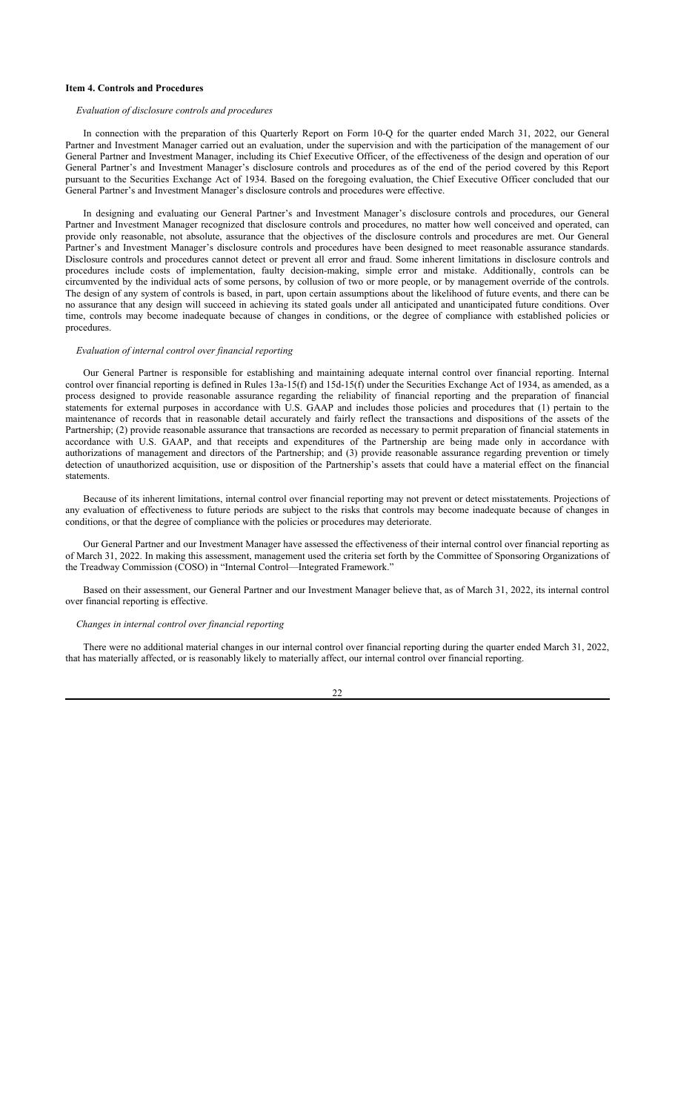#### **Item 4. Controls and Procedures**

#### *Evaluation of disclosure controls and procedures*

In connection with the preparation of this Quarterly Report on Form 10-Q for the quarter ended March 31, 2022, our General Partner and Investment Manager carried out an evaluation, under the supervision and with the participation of the management of our General Partner and Investment Manager, including its Chief Executive Officer, of the effectiveness of the design and operation of our General Partner's and Investment Manager's disclosure controls and procedures as of the end of the period covered by this Report pursuant to the Securities Exchange Act of 1934. Based on the foregoing evaluation, the Chief Executive Officer concluded that our General Partner's and Investment Manager's disclosure controls and procedures were effective.

In designing and evaluating our General Partner's and Investment Manager's disclosure controls and procedures, our General Partner and Investment Manager recognized that disclosure controls and procedures, no matter how well conceived and operated, can provide only reasonable, not absolute, assurance that the objectives of the disclosure controls and procedures are met. Our General Partner's and Investment Manager's disclosure controls and procedures have been designed to meet reasonable assurance standards. Disclosure controls and procedures cannot detect or prevent all error and fraud. Some inherent limitations in disclosure controls and procedures include costs of implementation, faulty decision-making, simple error and mistake. Additionally, controls can be circumvented by the individual acts of some persons, by collusion of two or more people, or by management override of the controls. The design of any system of controls is based, in part, upon certain assumptions about the likelihood of future events, and there can be no assurance that any design will succeed in achieving its stated goals under all anticipated and unanticipated future conditions. Over time, controls may become inadequate because of changes in conditions, or the degree of compliance with established policies or procedures.

#### *Evaluation of internal control over financial reporting*

Our General Partner is responsible for establishing and maintaining adequate internal control over financial reporting. Internal control over financial reporting is defined in Rules 13a-15(f) and 15d-15(f) under the Securities Exchange Act of 1934, as amended, as a process designed to provide reasonable assurance regarding the reliability of financial reporting and the preparation of financial statements for external purposes in accordance with U.S. GAAP and includes those policies and procedures that (1) pertain to the maintenance of records that in reasonable detail accurately and fairly reflect the transactions and dispositions of the assets of the Partnership; (2) provide reasonable assurance that transactions are recorded as necessary to permit preparation of financial statements in accordance with U.S. GAAP, and that receipts and expenditures of the Partnership are being made only in accordance with authorizations of management and directors of the Partnership; and (3) provide reasonable assurance regarding prevention or timely detection of unauthorized acquisition, use or disposition of the Partnership's assets that could have a material effect on the financial statements.

Because of its inherent limitations, internal control over financial reporting may not prevent or detect misstatements. Projections of any evaluation of effectiveness to future periods are subject to the risks that controls may become inadequate because of changes in conditions, or that the degree of compliance with the policies or procedures may deteriorate.

Our General Partner and our Investment Manager have assessed the effectiveness of their internal control over financial reporting as of March 31, 2022. In making this assessment, management used the criteria set forth by the Committee of Sponsoring Organizations of the Treadway Commission (COSO) in "Internal Control—Integrated Framework."

Based on their assessment, our General Partner and our Investment Manager believe that, as of March 31, 2022, its internal control over financial reporting is effective.

*Changes in internal control over financial reporting*

There were no additional material changes in our internal control over financial reporting during the quarter ended March 31, 2022, that has materially affected, or is reasonably likely to materially affect, our internal control over financial reporting.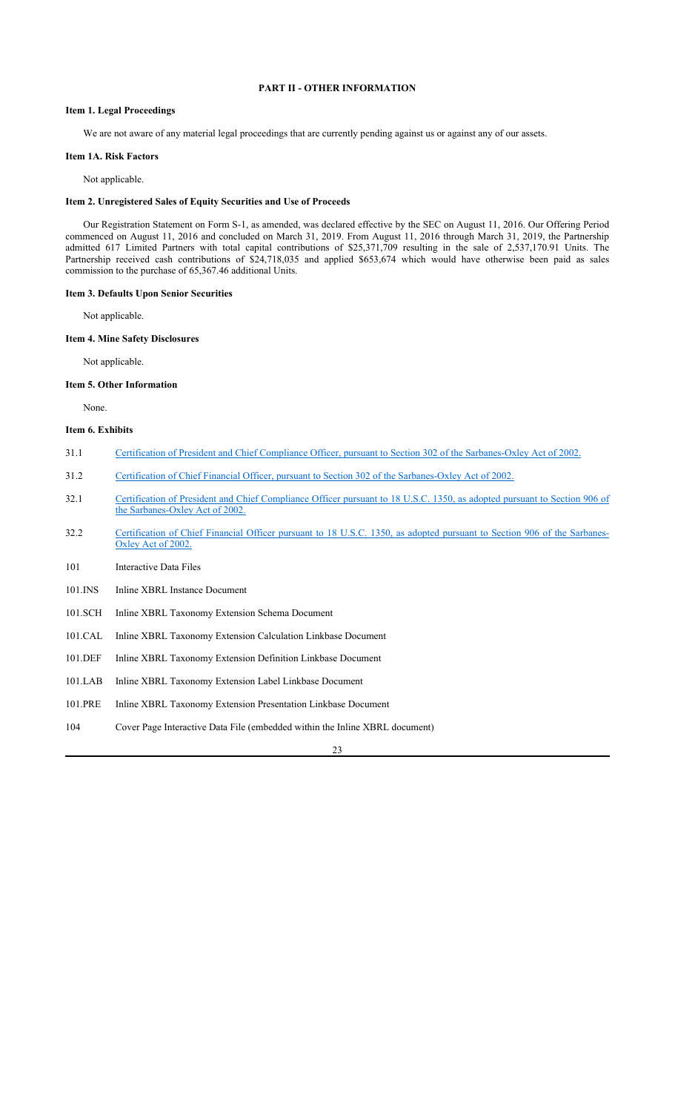## **PART II - OTHER INFORMATION**

## **Item 1. Legal Proceedings**

We are not aware of any material legal proceedings that are currently pending against us or against any of our assets.

## **Item 1A. Risk Factors**

Not applicable.

### **Item 2. Unregistered Sales of Equity Securities and Use of Proceeds**

Our Registration Statement on Form S-1, as amended, was declared effective by the SEC on August 11, 2016. Our Offering Period commenced on August 11, 2016 and concluded on March 31, 2019. From August 11, 2016 through March 31, 2019, the Partnership admitted 617 Limited Partners with total capital contributions of \$25,371,709 resulting in the sale of 2,537,170.91 Units. The Partnership received cash contributions of \$24,718,035 and applied \$653,674 which would have otherwise been paid as sales commission to the purchase of 65,367.46 additional Units.

#### **Item 3. Defaults Upon Senior Securities**

Not applicable.

#### **Item 4. Mine Safety Disclosures**

Not applicable.

#### **Item 5. Other Information**

None.

## **Item 6. Exhibits**

- 31.1 Certification of President and Chief Compliance Officer, pursuant to Section 302 of the Sarbanes-Oxley Act of 2002.
- 31.2 Certification of Chief Financial Officer, pursuant to Section 302 of the Sarbanes-Oxley Act of 2002.
- 32.1 Certification of President and Chief Compliance Officer pursuant to 18 U.S.C. 1350, as adopted pursuant to Section 906 of the Sarbanes-Oxley Act of 2002.
- 32.2 Certification of Chief Financial Officer pursuant to 18 U.S.C. 1350, as adopted pursuant to Section 906 of the Sarbanes-Oxley Act of 2002.
- 101 Interactive Data Files
- 101.INS Inline XBRL Instance Document
- 101.SCH Inline XBRL Taxonomy Extension Schema Document
- 101.CAL Inline XBRL Taxonomy Extension Calculation Linkbase Document
- 101.DEF Inline XBRL Taxonomy Extension Definition Linkbase Document
- 101.LAB Inline XBRL Taxonomy Extension Label Linkbase Document
- 101.PRE Inline XBRL Taxonomy Extension Presentation Linkbase Document
- 104 Cover Page Interactive Data File (embedded within the Inline XBRL document)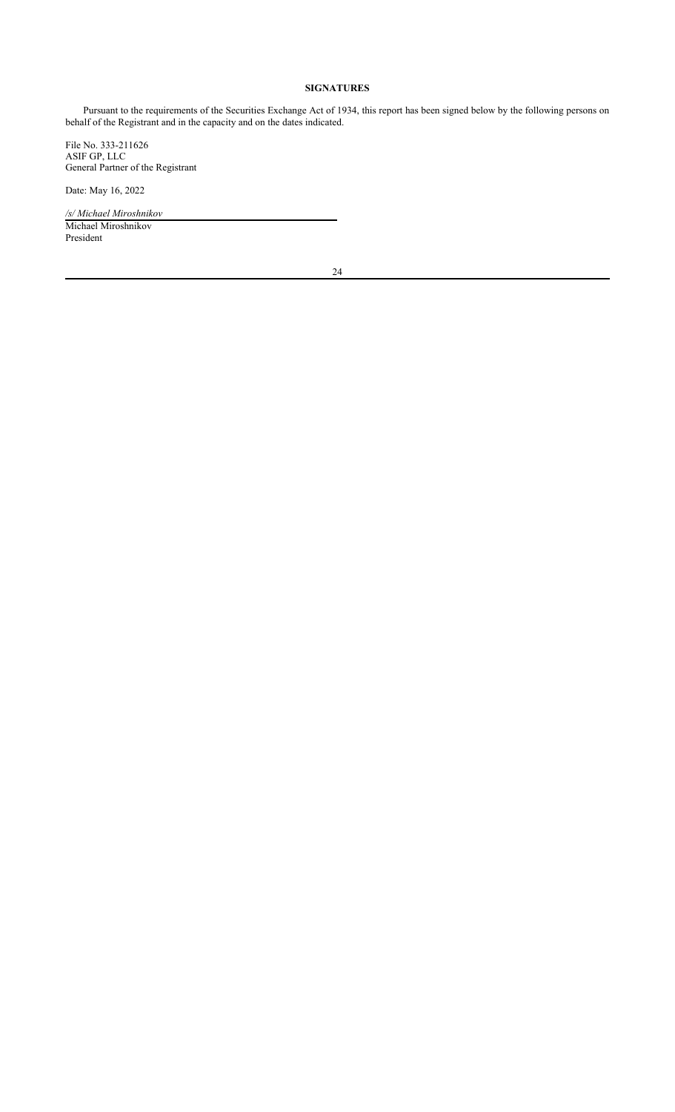## **SIGNATURES**

Pursuant to the requirements of the Securities Exchange Act of 1934, this report has been signed below by the following persons on behalf of the Registrant and in the capacity and on the dates indicated.

File No. 333-211626 ASIF GP, LLC General Partner of the Registrant

Date: May 16, 2022

*/s/ Michael Miroshnikov* Michael Miroshnikov President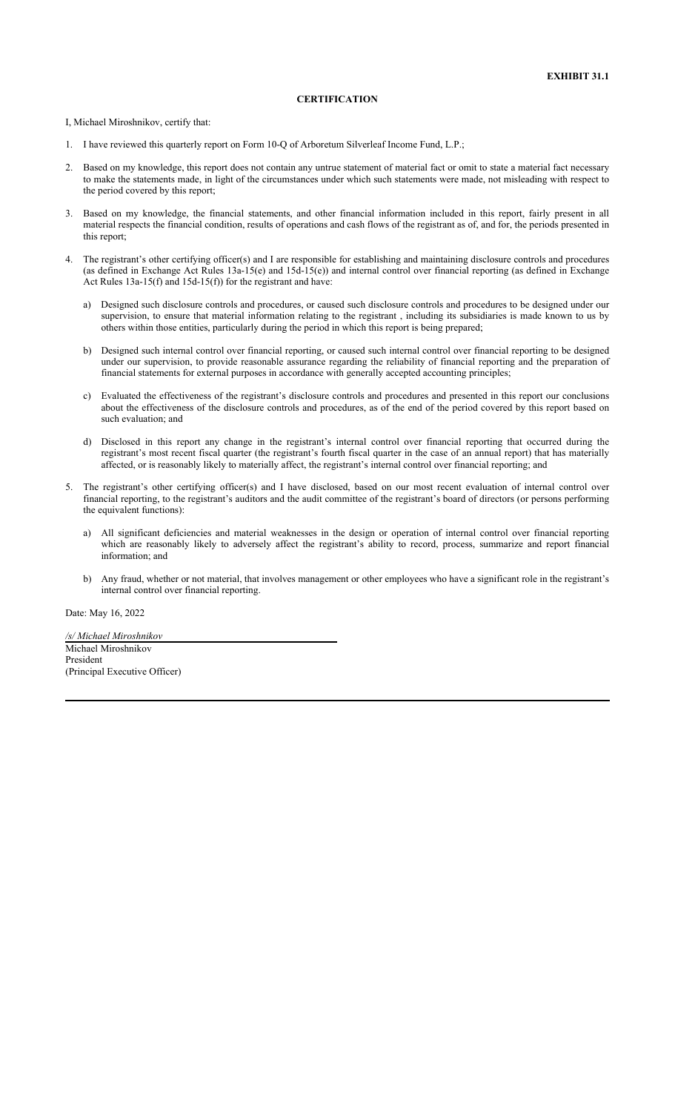#### **CERTIFICATION**

I, Michael Miroshnikov, certify that:

- 1. I have reviewed this quarterly report on Form 10-Q of Arboretum Silverleaf Income Fund, L.P.;
- 2. Based on my knowledge, this report does not contain any untrue statement of material fact or omit to state a material fact necessary to make the statements made, in light of the circumstances under which such statements were made, not misleading with respect to the period covered by this report;
- 3. Based on my knowledge, the financial statements, and other financial information included in this report, fairly present in all material respects the financial condition, results of operations and cash flows of the registrant as of, and for, the periods presented in this report;
- 4. The registrant's other certifying officer(s) and I are responsible for establishing and maintaining disclosure controls and procedures (as defined in Exchange Act Rules 13a-15(e) and 15d-15(e)) and internal control over financial reporting (as defined in Exchange Act Rules 13a-15(f) and 15d-15(f)) for the registrant and have:
	- a) Designed such disclosure controls and procedures, or caused such disclosure controls and procedures to be designed under our supervision, to ensure that material information relating to the registrant , including its subsidiaries is made known to us by others within those entities, particularly during the period in which this report is being prepared;
	- b) Designed such internal control over financial reporting, or caused such internal control over financial reporting to be designed under our supervision, to provide reasonable assurance regarding the reliability of financial reporting and the preparation of financial statements for external purposes in accordance with generally accepted accounting principles;
	- c) Evaluated the effectiveness of the registrant's disclosure controls and procedures and presented in this report our conclusions about the effectiveness of the disclosure controls and procedures, as of the end of the period covered by this report based on such evaluation; and
	- d) Disclosed in this report any change in the registrant's internal control over financial reporting that occurred during the registrant's most recent fiscal quarter (the registrant's fourth fiscal quarter in the case of an annual report) that has materially affected, or is reasonably likely to materially affect, the registrant's internal control over financial reporting; and
- 5. The registrant's other certifying officer(s) and I have disclosed, based on our most recent evaluation of internal control over financial reporting, to the registrant's auditors and the audit committee of the registrant's board of directors (or persons performing the equivalent functions):
	- a) All significant deficiencies and material weaknesses in the design or operation of internal control over financial reporting which are reasonably likely to adversely affect the registrant's ability to record, process, summarize and report financial information; and
	- b) Any fraud, whether or not material, that involves management or other employees who have a significant role in the registrant's internal control over financial reporting.

Date: May 16, 2022

*/s/ Michael Miroshnikov* Michael Miroshnikov President (Principal Executive Officer)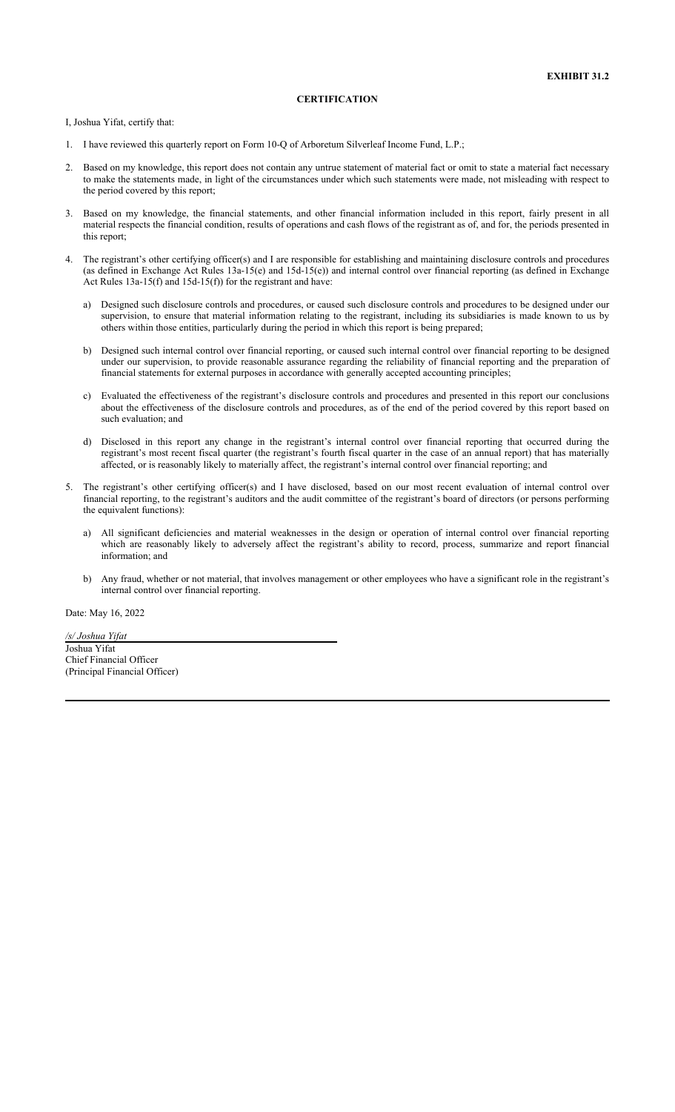#### **CERTIFICATION**

I, Joshua Yifat, certify that:

- 1. I have reviewed this quarterly report on Form 10-Q of Arboretum Silverleaf Income Fund, L.P.;
- 2. Based on my knowledge, this report does not contain any untrue statement of material fact or omit to state a material fact necessary to make the statements made, in light of the circumstances under which such statements were made, not misleading with respect to the period covered by this report;
- 3. Based on my knowledge, the financial statements, and other financial information included in this report, fairly present in all material respects the financial condition, results of operations and cash flows of the registrant as of, and for, the periods presented in this report;
- 4. The registrant's other certifying officer(s) and I are responsible for establishing and maintaining disclosure controls and procedures (as defined in Exchange Act Rules 13a-15(e) and 15d-15(e)) and internal control over financial reporting (as defined in Exchange Act Rules 13a-15(f) and 15d-15(f)) for the registrant and have:
	- a) Designed such disclosure controls and procedures, or caused such disclosure controls and procedures to be designed under our supervision, to ensure that material information relating to the registrant, including its subsidiaries is made known to us by others within those entities, particularly during the period in which this report is being prepared;
	- b) Designed such internal control over financial reporting, or caused such internal control over financial reporting to be designed under our supervision, to provide reasonable assurance regarding the reliability of financial reporting and the preparation of financial statements for external purposes in accordance with generally accepted accounting principles;
	- c) Evaluated the effectiveness of the registrant's disclosure controls and procedures and presented in this report our conclusions about the effectiveness of the disclosure controls and procedures, as of the end of the period covered by this report based on such evaluation; and
	- d) Disclosed in this report any change in the registrant's internal control over financial reporting that occurred during the registrant's most recent fiscal quarter (the registrant's fourth fiscal quarter in the case of an annual report) that has materially affected, or is reasonably likely to materially affect, the registrant's internal control over financial reporting; and
- 5. The registrant's other certifying officer(s) and I have disclosed, based on our most recent evaluation of internal control over financial reporting, to the registrant's auditors and the audit committee of the registrant's board of directors (or persons performing the equivalent functions):
	- a) All significant deficiencies and material weaknesses in the design or operation of internal control over financial reporting which are reasonably likely to adversely affect the registrant's ability to record, process, summarize and report financial information; and
	- b) Any fraud, whether or not material, that involves management or other employees who have a significant role in the registrant's internal control over financial reporting.

Date: May 16, 2022

*/s/ Joshua Yifat* Joshua Yifat Chief Financial Officer (Principal Financial Officer)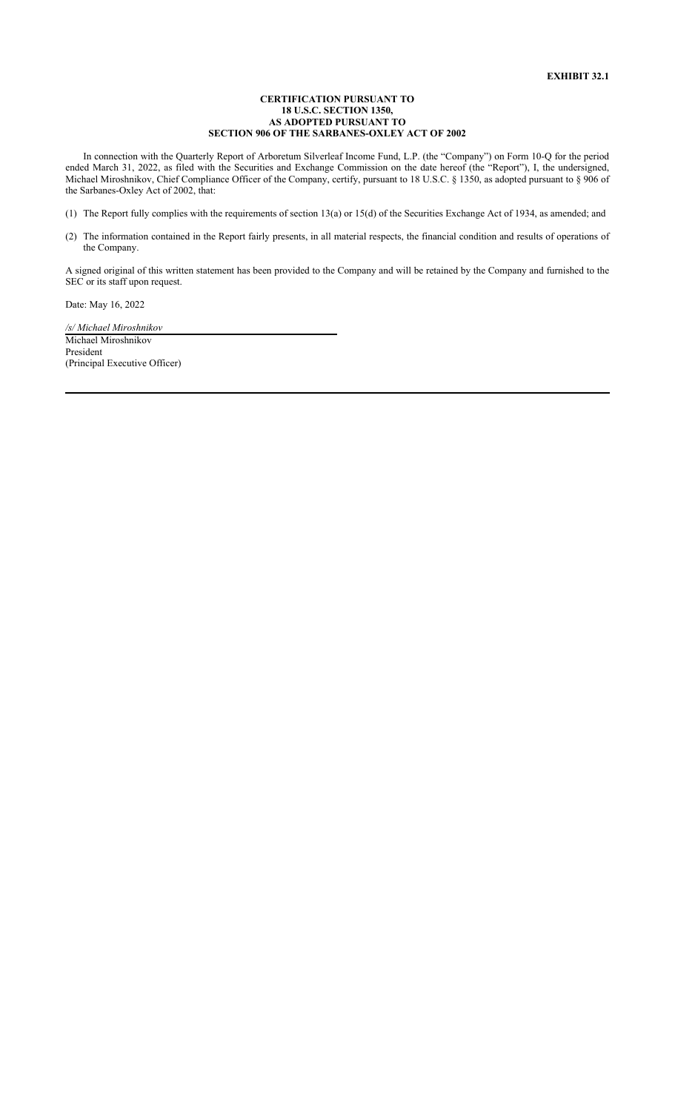#### **CERTIFICATION PURSUANT TO 18 U.S.C. SECTION 1350, AS ADOPTED PURSUANT TO SECTION 906 OF THE SARBANES-OXLEY ACT OF 2002**

In connection with the Quarterly Report of Arboretum Silverleaf Income Fund, L.P. (the "Company") on Form 10-Q for the period ended March 31, 2022, as filed with the Securities and Exchange Commission on the date hereof (the "Report"), I, the undersigned, Michael Miroshnikov, Chief Compliance Officer of the Company, certify, pursuant to 18 U.S.C. § 1350, as adopted pursuant to § 906 of the Sarbanes-Oxley Act of 2002, that:

(1) The Report fully complies with the requirements of section 13(a) or 15(d) of the Securities Exchange Act of 1934, as amended; and

(2) The information contained in the Report fairly presents, in all material respects, the financial condition and results of operations of the Company.

A signed original of this written statement has been provided to the Company and will be retained by the Company and furnished to the SEC or its staff upon request.

Date: May 16, 2022

*/s/ Michael Miroshnikov* Michael Miroshnikov President (Principal Executive Officer)